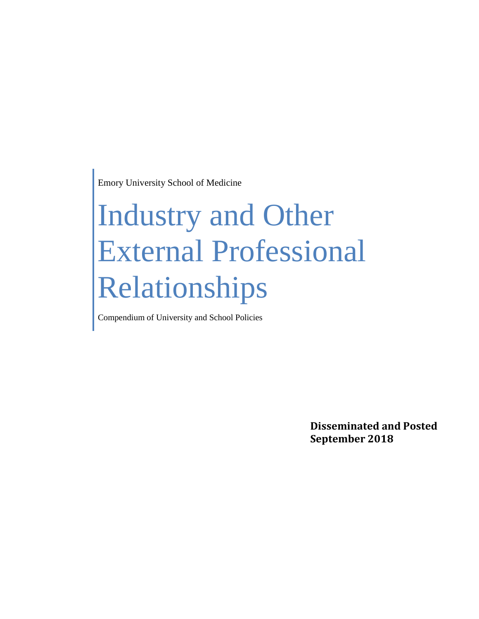Emory University School of Medicine

# Industry and Other External Professional Relationships

Compendium of University and School Policies

**Disseminated and Posted September 2018**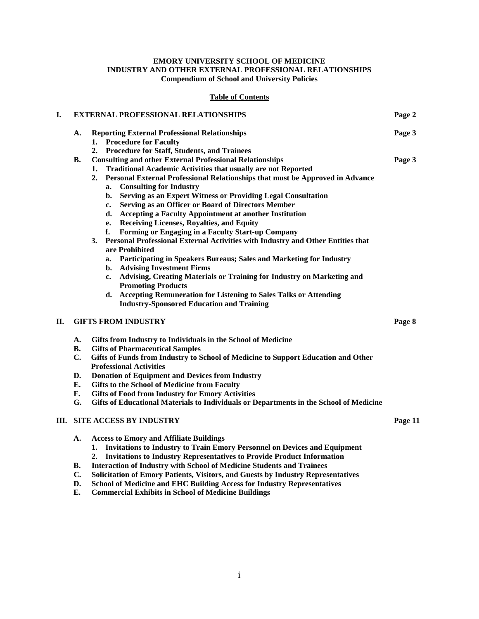#### **EMORY UNIVERSITY SCHOOL OF MEDICINE INDUSTRY AND OTHER EXTERNAL PROFESSIONAL RELATIONSHIPS Compendium of School and University Policies**

#### **Table of Contents**

| I.         | <b>EXTERNAL PROFESSIONAL RELATIONSHIPS</b> |                                                                                        | Page 2 |
|------------|--------------------------------------------|----------------------------------------------------------------------------------------|--------|
|            | A.                                         | <b>Reporting External Professional Relationships</b>                                   | Page 3 |
|            |                                            | <b>Procedure for Faculty</b><br>1.                                                     |        |
|            |                                            | <b>Procedure for Staff, Students, and Trainees</b><br>2.                               |        |
|            | В.                                         | <b>Consulting and other External Professional Relationships</b>                        | Page 3 |
|            |                                            | <b>Traditional Academic Activities that usually are not Reported</b><br>1.             |        |
|            |                                            | Personal External Professional Relationships that must be Approved in Advance<br>2.    |        |
|            |                                            | <b>Consulting for Industry</b><br>a.                                                   |        |
|            |                                            | Serving as an Expert Witness or Providing Legal Consultation<br>b.                     |        |
|            |                                            | Serving as an Officer or Board of Directors Member<br>c.                               |        |
|            |                                            | <b>Accepting a Faculty Appointment at another Institution</b><br>d.                    |        |
|            |                                            | <b>Receiving Licenses, Royalties, and Equity</b><br>e.                                 |        |
|            |                                            | Forming or Engaging in a Faculty Start-up Company<br>f.                                |        |
|            |                                            | Personal Professional External Activities with Industry and Other Entities that<br>3.  |        |
|            |                                            | are Prohibited                                                                         |        |
|            |                                            | Participating in Speakers Bureaus; Sales and Marketing for Industry<br>a.              |        |
|            |                                            | b. Advising Investment Firms                                                           |        |
|            |                                            | Advising, Creating Materials or Training for Industry on Marketing and<br>$c_{\cdot}$  |        |
|            |                                            | <b>Promoting Products</b>                                                              |        |
|            |                                            | <b>Accepting Remuneration for Listening to Sales Talks or Attending</b><br>d.          |        |
|            |                                            | <b>Industry-Sponsored Education and Training</b>                                       |        |
|            |                                            |                                                                                        |        |
| <b>II.</b> |                                            | <b>GIFTS FROM INDUSTRY</b>                                                             | Page 8 |
|            | $\mathbf{A}$ .                             | Gifts from Industry to Individuals in the School of Medicine                           |        |
|            | <b>B.</b>                                  | <b>Gifts of Pharmaceutical Samples</b>                                                 |        |
|            | C.                                         | Gifts of Funds from Industry to School of Medicine to Support Education and Other      |        |
|            |                                            | <b>Professional Activities</b>                                                         |        |
|            | D.                                         | <b>Donation of Equipment and Devices from Industry</b>                                 |        |
|            | Е.                                         | Gifts to the School of Medicine from Faculty                                           |        |
|            | F.                                         | <b>Gifts of Food from Industry for Emory Activities</b>                                |        |
|            | G.                                         | Gifts of Educational Materials to Individuals or Departments in the School of Medicine |        |

#### **III. SITE ACCESS BY INDUSTRY Page 11**

- **A. Access to Emory and Affiliate Buildings**
	- **1. Invitations to Industry to Train Emory Personnel on Devices and Equipment**
	- **2. Invitations to Industry Representatives to Provide Product Information**
- **B. Interaction of Industry with School of Medicine Students and Trainees**
- **C. Solicitation of Emory Patients, Visitors, and Guests by Industry Representatives**
- **D. School of Medicine and EHC Building Access for Industry Representatives**
- **E. Commercial Exhibits in School of Medicine Buildings**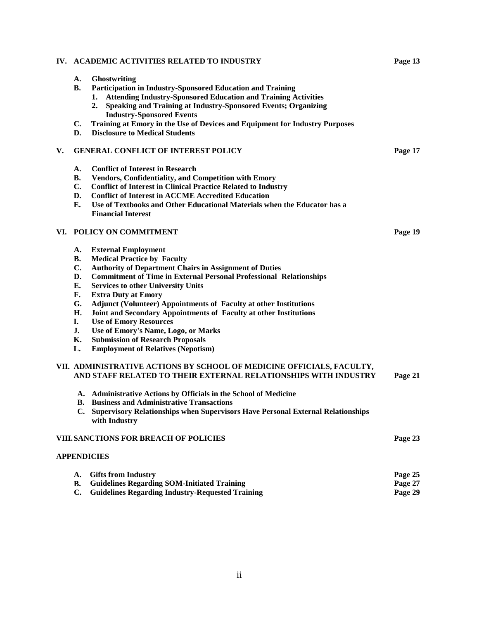#### **IV. ACADEMIC ACTIVITIES RELATED TO INDUSTRY Page 13**

- **A. Ghostwriting**
- **B. Participation in Industry-Sponsored Education and Training** 
	- **1. Attending Industry-Sponsored Education and Training Activities**
	- **2. Speaking and Training at Industry-Sponsored Events; Organizing Industry-Sponsored Events**
- **C. Training at Emory in the Use of Devices and Equipment for Industry Purposes**
- **D. Disclosure to Medical Students**

#### **V. GENERAL CONFLICT OF INTEREST POLICY Page 17**

- **A. Conflict of Interest in Research**
- **B. Vendors, Confidentiality, and Competition with Emory**
- **C. Conflict of Interest in Clinical Practice Related to Industry**
- **D. Conflict of Interest in ACCME Accredited Education**
- **E. Use of Textbooks and Other Educational Materials when the Educator has a Financial Interest**

#### **VI. POLICY ON COMMITMENT Page 19**

- **A. External Employment**
- **B. Medical Practice by Faculty**
- **C. Authority of Department Chairs in Assignment of Duties**
- **D. Commitment of Time in External Personal Professional Relationships**
- **E. Services to other University Units**
- **F. Extra Duty at Emory**
- **G. Adjunct (Volunteer) Appointments of Faculty at other Institutions**
- **H. Joint and Secondary Appointments of Faculty at other Institutions**
- **I. Use of Emory Resources**
- **J. Use of Emory's Name, Logo, or Marks**
- **K. Submission of Research Proposals**
- **L. Employment of Relatives (Nepotism)**

#### **VII. ADMINISTRATIVE ACTIONS BY SCHOOL OF MEDICINE OFFICIALS, FACULTY, AND STAFF RELATED TO THEIR EXTERNAL RELATIONSHIPS WITH INDUSTRY Page 21**

- **A. Administrative Actions by Officials in the School of Medicine**
- **B. Business and Administrative Transactions**
- **C. Supervisory Relationships when Supervisors Have Personal External Relationships with Industry**

#### **VIII.SANCTIONS FOR BREACH OF POLICIES Page 23**

#### **APPENDICIES**

| A. Gifts from Industry                                | Page 25 |
|-------------------------------------------------------|---------|
| <b>B.</b> Guidelines Regarding SOM-Initiated Training | Page 27 |
| C. Guidelines Regarding Industry-Requested Training   | Page 29 |

ii

- 
- 
-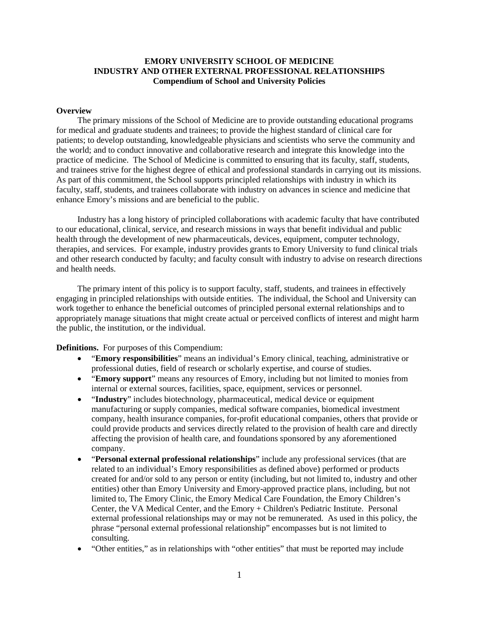#### **EMORY UNIVERSITY SCHOOL OF MEDICINE INDUSTRY AND OTHER EXTERNAL PROFESSIONAL RELATIONSHIPS Compendium of School and University Policies**

#### **Overview**

The primary missions of the School of Medicine are to provide outstanding educational programs for medical and graduate students and trainees; to provide the highest standard of clinical care for patients; to develop outstanding, knowledgeable physicians and scientists who serve the community and the world; and to conduct innovative and collaborative research and integrate this knowledge into the practice of medicine. The School of Medicine is committed to ensuring that its faculty, staff, students, and trainees strive for the highest degree of ethical and professional standards in carrying out its missions. As part of this commitment, the School supports principled relationships with industry in which its faculty, staff, students, and trainees collaborate with industry on advances in science and medicine that enhance Emory's missions and are beneficial to the public.

Industry has a long history of principled collaborations with academic faculty that have contributed to our educational, clinical, service, and research missions in ways that benefit individual and public health through the development of new pharmaceuticals, devices, equipment, computer technology, therapies, and services. For example, industry provides grants to Emory University to fund clinical trials and other research conducted by faculty; and faculty consult with industry to advise on research directions and health needs.

The primary intent of this policy is to support faculty, staff, students, and trainees in effectively engaging in principled relationships with outside entities. The individual, the School and University can work together to enhance the beneficial outcomes of principled personal external relationships and to appropriately manage situations that might create actual or perceived conflicts of interest and might harm the public, the institution, or the individual.

**Definitions.** For purposes of this Compendium:

- "**Emory responsibilities**" means an individual's Emory clinical, teaching, administrative or professional duties, field of research or scholarly expertise, and course of studies.
- "**Emory support**" means any resources of Emory, including but not limited to monies from internal or external sources, facilities, space, equipment, services or personnel.
- "**Industry**" includes biotechnology, pharmaceutical, medical device or equipment manufacturing or supply companies, medical software companies, biomedical investment company, health insurance companies, for-profit educational companies, others that provide or could provide products and services directly related to the provision of health care and directly affecting the provision of health care, and foundations sponsored by any aforementioned company.
- "**Personal external professional relationships**" include any professional services (that are related to an individual's Emory responsibilities as defined above) performed or products created for and/or sold to any person or entity (including, but not limited to, industry and other entities) other than Emory University and Emory-approved practice plans, including, but not limited to, The Emory Clinic, the Emory Medical Care Foundation, the Emory Children's Center, the VA Medical Center, and the Emory + Children's Pediatric Institute. Personal external professional relationships may or may not be remunerated. As used in this policy, the phrase "personal external professional relationship" encompasses but is not limited to consulting.
- "Other entities," as in relationships with "other entities" that must be reported may include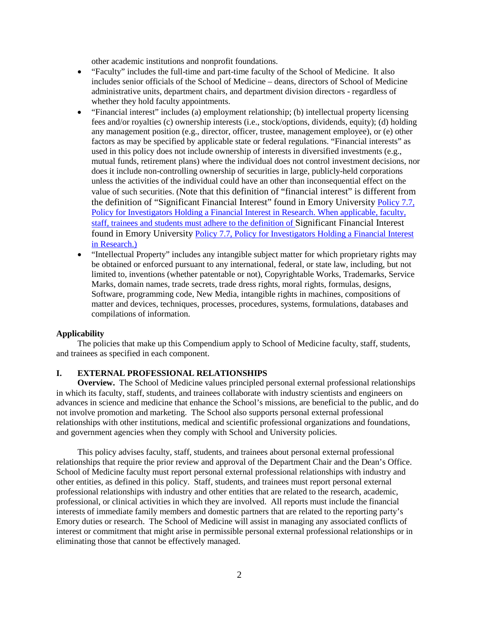other academic institutions and nonprofit foundations.

- "Faculty" includes the full-time and part-time faculty of the School of Medicine. It also includes senior officials of the School of Medicine – deans, directors of School of Medicine administrative units, department chairs, and department division directors - regardless of whether they hold faculty appointments.
- "Financial interest" includes (a) employment relationship; (b) intellectual property licensing fees and/or royalties (c) ownership interests (i.e., stock/options, dividends, equity); (d) holding any management position (e.g., director, officer, trustee, management employee), or (e) other factors as may be specified by applicable state or federal regulations. "Financial interests" as used in this policy does not include ownership of interests in diversified investments (e.g., mutual funds, retirement plans) where the individual does not control investment decisions, nor does it include non-controlling ownership of securities in large, publicly-held corporations unless the activities of the individual could have an other than inconsequential effect on the value of such securities. (Note that this definition of "financial interest" is different from the definition of "Significant Financial Interest" found in Emory University [Policy 7.7,](http://policies.emory.edu/7.7)  [Policy for Investigators Holding a Financial Interest in Research.](http://policies.emory.edu/7.7) When applicable, faculty, staff, trainees and students must adhere to the definition of Significant Financial Interest found in Emory University [Policy 7.7, Policy for Investigators Holding a Financial Interest](http://policies.emory.edu/7.7)  [in Research.](http://policies.emory.edu/7.7))
- "Intellectual Property" includes any intangible subject matter for which proprietary rights may be obtained or enforced pursuant to any international, federal, or state law, including, but not limited to, inventions (whether patentable or not), Copyrightable Works, Trademarks, Service Marks, domain names, trade secrets, trade dress rights, moral rights, formulas, designs, Software, programming code, New Media, intangible rights in machines, compositions of matter and devices, techniques, processes, procedures, systems, formulations, databases and compilations of information.

#### **Applicability**

The policies that make up this Compendium apply to School of Medicine faculty, staff, students, and trainees as specified in each component.

#### **I. EXTERNAL PROFESSIONAL RELATIONSHIPS**

**Overview.** The School of Medicine values principled personal external professional relationships in which its faculty, staff, students, and trainees collaborate with industry scientists and engineers on advances in science and medicine that enhance the School's missions, are beneficial to the public, and do not involve promotion and marketing. The School also supports personal external professional relationships with other institutions, medical and scientific professional organizations and foundations, and government agencies when they comply with School and University policies.

This policy advises faculty, staff, students, and trainees about personal external professional relationships that require the prior review and approval of the Department Chair and the Dean's Office. School of Medicine faculty must report personal external professional relationships with industry and other entities, as defined in this policy. Staff, students, and trainees must report personal external professional relationships with industry and other entities that are related to the research, academic, professional, or clinical activities in which they are involved. All reports must include the financial interests of immediate family members and domestic partners that are related to the reporting party's Emory duties or research. The School of Medicine will assist in managing any associated conflicts of interest or commitment that might arise in permissible personal external professional relationships or in eliminating those that cannot be effectively managed.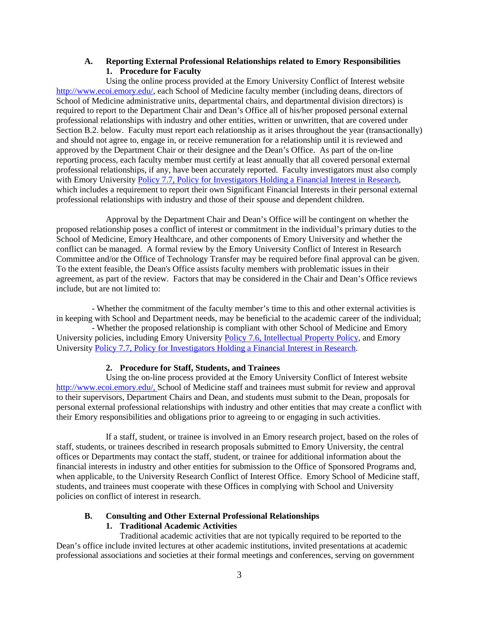#### **A. Reporting External Professional Relationships related to Emory Responsibilities 1. Procedure for Faculty**

Using the online process provided at the Emory University Conflict of Interest website [http://www.ecoi.emory.edu/,](http://www.ecoi.emory.edu/) each School of Medicine faculty member (including deans, directors of School of Medicine administrative units, departmental chairs, and departmental division directors) is required to report to the Department Chair and Dean's Office all of his/her proposed personal external professional relationships with industry and other entities, written or unwritten, that are covered under Section B.2. below. Faculty must report each relationship as it arises throughout the year (transactionally) and should not agree to, engage in, or receive remuneration for a relationship until it is reviewed and approved by the Department Chair or their designee and the Dean's Office. As part of the on-line reporting process, each faculty member must certify at least annually that all covered personal external professional relationships, if any, have been accurately reported. Faculty investigators must also comply with Emory University [Policy 7.7, Policy for Investigators Holding a Financial Interest in Research,](http://policies.emory.edu/7.7) which includes a requirement to report their own Significant Financial Interests in their personal external professional relationships with industry and those of their spouse and dependent children.

Approval by the Department Chair and Dean's Office will be contingent on whether the proposed relationship poses a conflict of interest or commitment in the individual's primary duties to the School of Medicine, Emory Healthcare, and other components of Emory University and whether the conflict can be managed. A formal review by the Emory University Conflict of Interest in Research Committee and/or the Office of Technology Transfer may be required before final approval can be given. To the extent feasible, the Dean's Office assists faculty members with problematic issues in their agreement, as part of the review. Factors that may be considered in the Chair and Dean's Office reviews include, but are not limited to:

- Whether the commitment of the faculty member's time to this and other external activities is in keeping with School and Department needs, may be beneficial to the academic career of the individual;

- Whether the proposed relationship is compliant with other School of Medicine and Emory University policies, including Emory University Policy 7.6, [Intellectual Property Policy,](http://policies.emory.edu/7.6) and Emory University Policy 7.7, [Policy for Investigators Holding a Financial](http://policies.emory.edu/7.7) Interest in Research.

#### **2. Procedure for Staff, Students, and Trainees**

Using the on-line process provided at the Emory University Conflict of Interest website [http://www.ecoi.emory.edu/,](http://www.ecoi.emory.edu/) School of Medicine staff and trainees must submit for review and approval to their supervisors, Department Chairs and Dean, and students must submit to the Dean, proposals for personal external professional relationships with industry and other entities that may create a conflict with their Emory responsibilities and obligations prior to agreeing to or engaging in such activities.

If a staff, student, or trainee is involved in an Emory research project, based on the roles of staff, students, or trainees described in research proposals submitted to Emory University, the central offices or Departments may contact the staff, student, or trainee for additional information about the financial interests in industry and other entities for submission to the Office of Sponsored Programs and, when applicable, to the University Research Conflict of Interest Office. Emory School of Medicine staff, students, and trainees must cooperate with these Offices in complying with School and University policies on conflict of interest in research.

# **B. Consulting and Other External Professional Relationships**

# **1. Traditional Academic Activities**

Traditional academic activities that are not typically required to be reported to the Dean's office include invited lectures at other academic institutions, invited presentations at academic professional associations and societies at their formal meetings and conferences, serving on government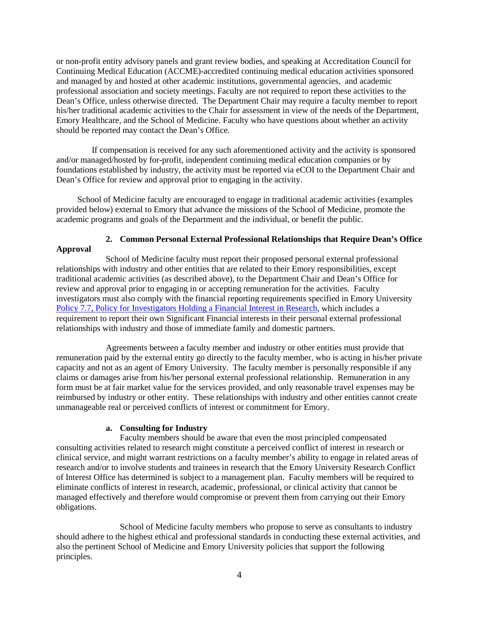or non-profit entity advisory panels and grant review bodies, and speaking at Accreditation Council for Continuing Medical Education (ACCME)-accredited continuing medical education activities sponsored and managed by and hosted at other academic institutions, governmental agencies, and academic professional association and society meetings. Faculty are not required to report these activities to the Dean's Office, unless otherwise directed. The Department Chair may require a faculty member to report his/her traditional academic activities to the Chair for assessment in view of the needs of the Department, Emory Healthcare, and the School of Medicine. Faculty who have questions about whether an activity should be reported may contact the Dean's Office.

If compensation is received for any such aforementioned activity and the activity is sponsored and/or managed/hosted by for-profit, independent continuing medical education companies or by foundations established by industry, the activity must be reported via eCOI to the Department Chair and Dean's Office for review and approval prior to engaging in the activity.

School of Medicine faculty are encouraged to engage in traditional academic activities (examples provided below) external to Emory that advance the missions of the School of Medicine, promote the academic programs and goals of the Department and the individual, or benefit the public.

# **2. Common Personal External Professional Relationships that Require Dean's Office Approval**

School of Medicine faculty must report their proposed personal external professional relationships with industry and other entities that are related to their Emory responsibilities, except traditional academic activities (as described above), to the Department Chair and Dean's Office for review and approval prior to engaging in or accepting remuneration for the activities. Faculty investigators must also comply with the financial reporting requirements specified in Emory University [Policy 7.7, Policy for Investigators Holding a Financial Interest in Research,](http://policies.emory.edu/7.7) which includes a requirement to report their own Significant Financial interests in their personal external professional relationships with industry and those of immediate family and domestic partners.

Agreements between a faculty member and industry or other entities must provide that remuneration paid by the external entity go directly to the faculty member, who is acting in his/her private capacity and not as an agent of Emory University. The faculty member is personally responsible if any claims or damages arise from his/her personal external professional relationship. Remuneration in any form must be at fair market value for the services provided, and only reasonable travel expenses may be reimbursed by industry or other entity. These relationships with industry and other entities cannot create unmanageable real or perceived conflicts of interest or commitment for Emory.

#### **a. Consulting for Industry**

Faculty members should be aware that even the most principled compensated consulting activities related to research might constitute a perceived conflict of interest in research or clinical service, and might warrant restrictions on a faculty member's ability to engage in related areas of research and/or to involve students and trainees in research that the Emory University Research Conflict of Interest Office has determined is subject to a management plan. Faculty members will be required to eliminate conflicts of interest in research, academic, professional, or clinical activity that cannot be managed effectively and therefore would compromise or prevent them from carrying out their Emory obligations.

School of Medicine faculty members who propose to serve as consultants to industry should adhere to the highest ethical and professional standards in conducting these external activities, and also the pertinent School of Medicine and Emory University policies that support the following principles.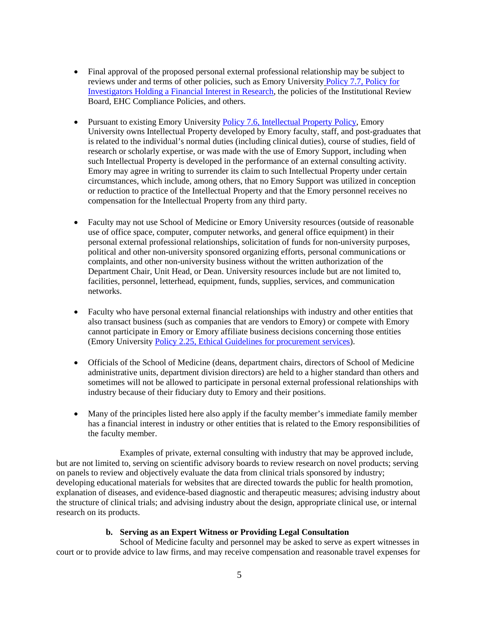- Final approval of the proposed personal external professional relationship may be subject to reviews under and terms of other policies, such as Emory University [Policy 7.7, Policy for](http://policies.emory.edu/7.7)  [Investigators Holding a Financial Interest in Research,](http://policies.emory.edu/7.7) the policies of the Institutional Review Board, EHC Compliance Policies, and others.
- Pursuant to existing Emory Universit[y Policy 7.6, Intellectual Property Policy,](http://policies.emory.edu/7.6) Emory University owns Intellectual Property developed by Emory faculty, staff, and post-graduates that is related to the individual's normal duties (including clinical duties), course of studies, field of research or scholarly expertise, or was made with the use of Emory Support, including when such Intellectual Property is developed in the performance of an external consulting activity. Emory may agree in writing to surrender its claim to such Intellectual Property under certain circumstances, which include, among others, that no Emory Support was utilized in conception or reduction to practice of the Intellectual Property and that the Emory personnel receives no compensation for the Intellectual Property from any third party.
- Faculty may not use School of Medicine or Emory University resources (outside of reasonable use of office space, computer, computer networks, and general office equipment) in their personal external professional relationships, solicitation of funds for non-university purposes, political and other non-university sponsored organizing efforts, personal communications or complaints, and other non-university business without the written authorization of the Department Chair, Unit Head, or Dean. University resources include but are not limited to, facilities, personnel, letterhead, equipment, funds, supplies, services, and communication networks.
- Faculty who have personal external financial relationships with industry and other entities that also transact business (such as companies that are vendors to Emory) or compete with Emory cannot participate in Emory or Emory affiliate business decisions concerning those entities (Emory University Policy 2.25, [Ethical Guidelines for procurement services\)](http://policies.emory.edu/2.25).
- Officials of the School of Medicine (deans, department chairs, directors of School of Medicine administrative units, department division directors) are held to a higher standard than others and sometimes will not be allowed to participate in personal external professional relationships with industry because of their fiduciary duty to Emory and their positions.
- Many of the principles listed here also apply if the faculty member's immediate family member has a financial interest in industry or other entities that is related to the Emory responsibilities of the faculty member.

Examples of private, external consulting with industry that may be approved include, but are not limited to, serving on scientific advisory boards to review research on novel products; serving on panels to review and objectively evaluate the data from clinical trials sponsored by industry; developing educational materials for websites that are directed towards the public for health promotion, explanation of diseases, and evidence-based diagnostic and therapeutic measures; advising industry about the structure of clinical trials; and advising industry about the design, appropriate clinical use, or internal research on its products.

#### **b. Serving as an Expert Witness or Providing Legal Consultation**

School of Medicine faculty and personnel may be asked to serve as expert witnesses in court or to provide advice to law firms, and may receive compensation and reasonable travel expenses for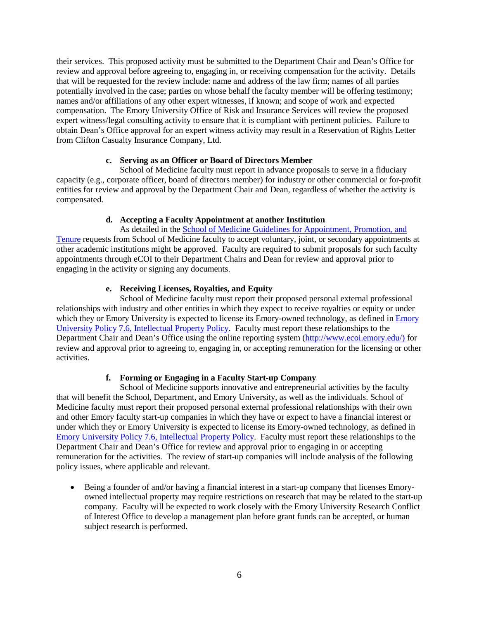their services. This proposed activity must be submitted to the Department Chair and Dean's Office for review and approval before agreeing to, engaging in, or receiving compensation for the activity. Details that will be requested for the review include: name and address of the law firm; names of all parties potentially involved in the case; parties on whose behalf the faculty member will be offering testimony; names and/or affiliations of any other expert witnesses, if known; and scope of work and expected compensation. The Emory University Office of Risk and Insurance Services will review the proposed expert witness/legal consulting activity to ensure that it is compliant with pertinent policies. Failure to obtain Dean's Office approval for an expert witness activity may result in a Reservation of Rights Letter from Clifton Casualty Insurance Company, Ltd.

#### **c. Serving as an Officer or Board of Directors Member**

School of Medicine faculty must report in advance proposals to serve in a fiduciary capacity (e.g., corporate officer, board of directors member) for industry or other commercial or for-profit entities for review and approval by the Department Chair and Dean, regardless of whether the activity is compensated.

#### **d. Accepting a Faculty Appointment at another Institution**

As detailed in the [School of Medicine Guidelines for Appointment, Promotion, and](https://med.emory.edu/administration/faculty_affairs_dev/documents/SOM_PT_Guidelines_2017.pdf)  [Tenure](https://med.emory.edu/administration/faculty_affairs_dev/documents/SOM_PT_Guidelines_2017.pdf) requests from School of Medicine faculty to accept voluntary, joint, or secondary appointments at other academic institutions might be approved. Faculty are required to submit proposals for such faculty appointments through eCOI to their Department Chairs and Dean for review and approval prior to engaging in the activity or signing any documents.

# **e. Receiving Licenses, Royalties, and Equity**

School of Medicine faculty must report their proposed personal external professional relationships with industry and other entities in which they expect to receive royalties or equity or under which they or [Emory](http://policies.emory.edu/7.6) University is expected to license its Emory-owned technology, as defined in Emory University Policy 7.6, [Intellectual Property Policy.](http://policies.emory.edu/7.6) Faculty must report these relationships to the Department Chair and Dean's Office using the online reporting system [\(http://www.ecoi.emory.edu/\)](http://www.ecoi.emory.edu/) for review and approval prior to agreeing to, engaging in, or accepting remuneration for the licensing or other activities.

#### **f. Forming or Engaging in a Faculty Start-up Company**

School of Medicine supports innovative and entrepreneurial activities by the faculty that will benefit the School, Department, and Emory University, as well as the individuals. School of Medicine faculty must report their proposed personal external professional relationships with their own and other Emory faculty start-up companies in which they have or expect to have a financial interest or under which they or Emory University is expected to license its Emory-owned technology, as defined in [Emory University Policy 7.6,](http://policies.emory.edu/7.6) Intellectual Property Policy. Faculty must report these relationships to the Department Chair and Dean's Office for review and approval prior to engaging in or accepting remuneration for the activities. The review of start-up companies will include analysis of the following policy issues, where applicable and relevant.

• Being a founder of and/or having a financial interest in a start-up company that licenses Emoryowned intellectual property may require restrictions on research that may be related to the start-up company. Faculty will be expected to work closely with the Emory University Research Conflict of Interest Office to develop a management plan before grant funds can be accepted, or human subject research is performed.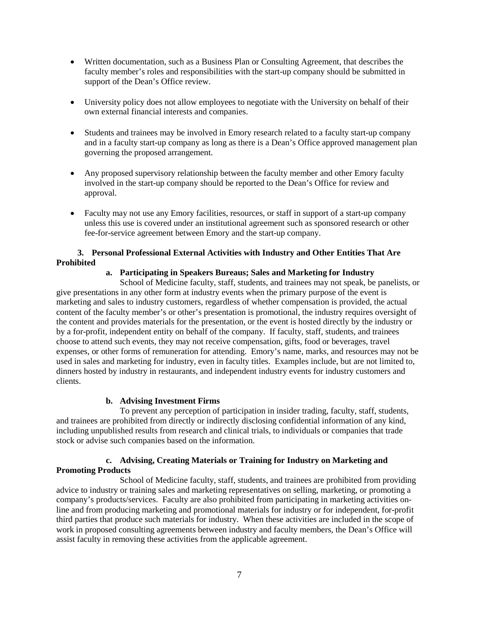- Written documentation, such as a Business Plan or Consulting Agreement, that describes the faculty member's roles and responsibilities with the start-up company should be submitted in support of the Dean's Office review.
- University policy does not allow employees to negotiate with the University on behalf of their own external financial interests and companies.
- Students and trainees may be involved in Emory research related to a faculty start-up company and in a faculty start-up company as long as there is a Dean's Office approved management plan governing the proposed arrangement.
- Any proposed supervisory relationship between the faculty member and other Emory faculty involved in the start-up company should be reported to the Dean's Office for review and approval.
- Faculty may not use any Emory facilities, resources, or staff in support of a start-up company unless this use is covered under an institutional agreement such as sponsored research or other fee-for-service agreement between Emory and the start-up company.

#### **3. Personal Professional External Activities with Industry and Other Entities That Are Prohibited**

# **a. Participating in Speakers Bureaus; Sales and Marketing for Industry**

School of Medicine faculty, staff, students, and trainees may not speak, be panelists, or give presentations in any other form at industry events when the primary purpose of the event is marketing and sales to industry customers, regardless of whether compensation is provided, the actual content of the faculty member's or other's presentation is promotional, the industry requires oversight of the content and provides materials for the presentation, or the event is hosted directly by the industry or by a for-profit, independent entity on behalf of the company. If faculty, staff, students, and trainees choose to attend such events, they may not receive compensation, gifts, food or beverages, travel expenses, or other forms of remuneration for attending. Emory's name, marks, and resources may not be used in sales and marketing for industry, even in faculty titles. Examples include, but are not limited to, dinners hosted by industry in restaurants, and independent industry events for industry customers and clients.

#### **b. Advising Investment Firms**

To prevent any perception of participation in insider trading, faculty, staff, students, and trainees are prohibited from directly or indirectly disclosing confidential information of any kind, including unpublished results from research and clinical trials, to individuals or companies that trade stock or advise such companies based on the information.

# **c. Advising, Creating Materials or Training for Industry on Marketing and Promoting Products**

School of Medicine faculty, staff, students, and trainees are prohibited from providing advice to industry or training sales and marketing representatives on selling, marketing, or promoting a company's products/services. Faculty are also prohibited from participating in marketing activities online and from producing marketing and promotional materials for industry or for independent, for-profit third parties that produce such materials for industry. When these activities are included in the scope of work in proposed consulting agreements between industry and faculty members, the Dean's Office will assist faculty in removing these activities from the applicable agreement.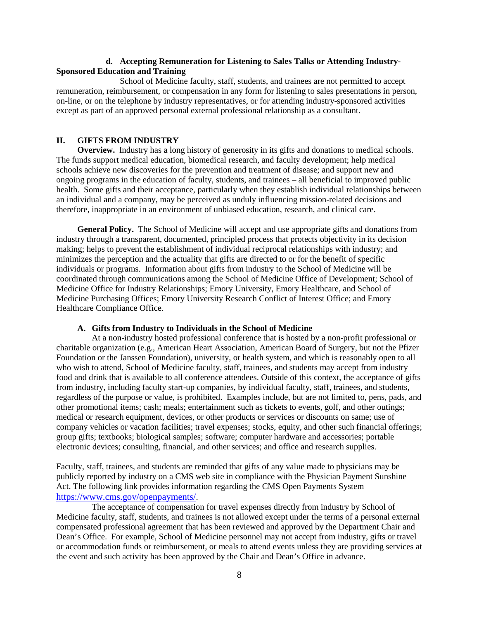#### **d. Accepting Remuneration for Listening to Sales Talks or Attending Industry-Sponsored Education and Training**

School of Medicine faculty, staff, students, and trainees are not permitted to accept remuneration, reimbursement, or compensation in any form for listening to sales presentations in person, on-line, or on the telephone by industry representatives, or for attending industry-sponsored activities except as part of an approved personal external professional relationship as a consultant.

#### **II. GIFTS FROM INDUSTRY**

**Overview.** Industry has a long history of generosity in its gifts and donations to medical schools. The funds support medical education, biomedical research, and faculty development; help medical schools achieve new discoveries for the prevention and treatment of disease; and support new and ongoing programs in the education of faculty, students, and trainees – all beneficial to improved public health. Some gifts and their acceptance, particularly when they establish individual relationships between an individual and a company, may be perceived as unduly influencing mission-related decisions and therefore, inappropriate in an environment of unbiased education, research, and clinical care.

**General Policy.** The School of Medicine will accept and use appropriate gifts and donations from industry through a transparent, documented, principled process that protects objectivity in its decision making; helps to prevent the establishment of individual reciprocal relationships with industry; and minimizes the perception and the actuality that gifts are directed to or for the benefit of specific individuals or programs. Information about gifts from industry to the School of Medicine will be coordinated through communications among the School of Medicine Office of Development; School of Medicine Office for Industry Relationships; Emory University, Emory Healthcare, and School of Medicine Purchasing Offices; Emory University Research Conflict of Interest Office; and Emory Healthcare Compliance Office.

#### **A. Gifts from Industry to Individuals in the School of Medicine**

At a non-industry hosted professional conference that is hosted by a non-profit professional or charitable organization (e.g., American Heart Association, American Board of Surgery, but not the Pfizer Foundation or the Janssen Foundation), university, or health system, and which is reasonably open to all who wish to attend, School of Medicine faculty, staff, trainees, and students may accept from industry food and drink that is available to all conference attendees. Outside of this context, the acceptance of gifts from industry, including faculty start-up companies, by individual faculty, staff, trainees, and students, regardless of the purpose or value, is prohibited. Examples include, but are not limited to, pens, pads, and other promotional items; cash; meals; entertainment such as tickets to events, golf, and other outings; medical or research equipment, devices, or other products or services or discounts on same; use of company vehicles or vacation facilities; travel expenses; stocks, equity, and other such financial offerings; group gifts; textbooks; biological samples; software; computer hardware and accessories; portable electronic devices; consulting, financial, and other services; and office and research supplies.

Faculty, staff, trainees, and students are reminded that gifts of any value made to physicians may be publicly reported by industry on a CMS web site in compliance with the Physician Payment Sunshine Act. The following link provides information regarding the CMS Open Payments System [https://www.cms.gov/openpayments/.](https://www.cms.gov/openpayments/)

The acceptance of compensation for travel expenses directly from industry by School of Medicine faculty, staff, students, and trainees is not allowed except under the terms of a personal external compensated professional agreement that has been reviewed and approved by the Department Chair and Dean's Office. For example, School of Medicine personnel may not accept from industry, gifts or travel or accommodation funds or reimbursement, or meals to attend events unless they are providing services at the event and such activity has been approved by the Chair and Dean's Office in advance.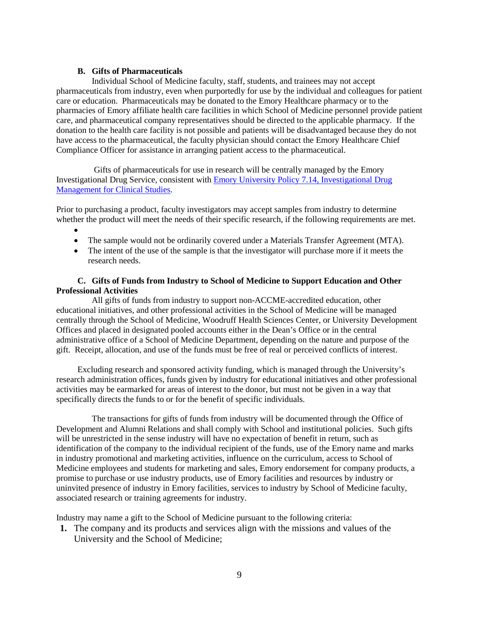#### **B. Gifts of Pharmaceuticals**

Individual School of Medicine faculty, staff, students, and trainees may not accept pharmaceuticals from industry, even when purportedly for use by the individual and colleagues for patient care or education. Pharmaceuticals may be donated to the Emory Healthcare pharmacy or to the pharmacies of Emory affiliate health care facilities in which School of Medicine personnel provide patient care, and pharmaceutical company representatives should be directed to the applicable pharmacy. If the donation to the health care facility is not possible and patients will be disadvantaged because they do not have access to the pharmaceutical, the faculty physician should contact the Emory Healthcare Chief Compliance Officer for assistance in arranging patient access to the pharmaceutical.

Gifts of pharmaceuticals for use in research will be centrally managed by the Emory Investigational Drug Service, consistent with [Emory University Policy 7.14, Investigational Drug](http://policies.emory.edu/7.14)  **[Management for Clinical Studies.](http://policies.emory.edu/7.14)** 

Prior to purchasing a product, faculty investigators may accept samples from industry to determine whether the product will meet the needs of their specific research, if the following requirements are met.

- •
- The sample would not be ordinarily covered under a Materials Transfer Agreement (MTA).
- The intent of the use of the sample is that the investigator will purchase more if it meets the research needs.

#### **C. Gifts of Funds from Industry to School of Medicine to Support Education and Other Professional Activities**

All gifts of funds from industry to support non-ACCME-accredited education, other educational initiatives, and other professional activities in the School of Medicine will be managed centrally through the School of Medicine, Woodruff Health Sciences Center, or University Development Offices and placed in designated pooled accounts either in the Dean's Office or in the central administrative office of a School of Medicine Department, depending on the nature and purpose of the gift. Receipt, allocation, and use of the funds must be free of real or perceived conflicts of interest.

Excluding research and sponsored activity funding, which is managed through the University's research administration offices, funds given by industry for educational initiatives and other professional activities may be earmarked for areas of interest to the donor, but must not be given in a way that specifically directs the funds to or for the benefit of specific individuals.

The transactions for gifts of funds from industry will be documented through the Office of Development and Alumni Relations and shall comply with School and institutional policies. Such gifts will be unrestricted in the sense industry will have no expectation of benefit in return, such as identification of the company to the individual recipient of the funds, use of the Emory name and marks in industry promotional and marketing activities, influence on the curriculum, access to School of Medicine employees and students for marketing and sales, Emory endorsement for company products, a promise to purchase or use industry products, use of Emory facilities and resources by industry or uninvited presence of industry in Emory facilities, services to industry by School of Medicine faculty, associated research or training agreements for industry.

Industry may name a gift to the School of Medicine pursuant to the following criteria:

**1.** The company and its products and services align with the missions and values of the University and the School of Medicine;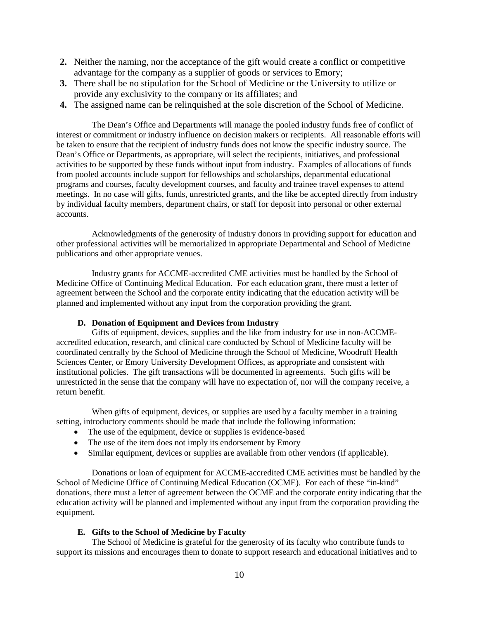- **2.** Neither the naming, nor the acceptance of the gift would create a conflict or competitive advantage for the company as a supplier of goods or services to Emory;
- **3.** There shall be no stipulation for the School of Medicine or the University to utilize or provide any exclusivity to the company or its affiliates; and
- **4.** The assigned name can be relinquished at the sole discretion of the School of Medicine.

The Dean's Office and Departments will manage the pooled industry funds free of conflict of interest or commitment or industry influence on decision makers or recipients. All reasonable efforts will be taken to ensure that the recipient of industry funds does not know the specific industry source. The Dean's Office or Departments, as appropriate, will select the recipients, initiatives, and professional activities to be supported by these funds without input from industry. Examples of allocations of funds from pooled accounts include support for fellowships and scholarships, departmental educational programs and courses, faculty development courses, and faculty and trainee travel expenses to attend meetings. In no case will gifts, funds, unrestricted grants, and the like be accepted directly from industry by individual faculty members, department chairs, or staff for deposit into personal or other external accounts.

Acknowledgments of the generosity of industry donors in providing support for education and other professional activities will be memorialized in appropriate Departmental and School of Medicine publications and other appropriate venues.

Industry grants for ACCME-accredited CME activities must be handled by the School of Medicine Office of Continuing Medical Education. For each education grant, there must a letter of agreement between the School and the corporate entity indicating that the education activity will be planned and implemented without any input from the corporation providing the grant.

#### **D. Donation of Equipment and Devices from Industry**

Gifts of equipment, devices, supplies and the like from industry for use in non-ACCMEaccredited education, research, and clinical care conducted by School of Medicine faculty will be coordinated centrally by the School of Medicine through the School of Medicine, Woodruff Health Sciences Center, or Emory University Development Offices, as appropriate and consistent with institutional policies. The gift transactions will be documented in agreements. Such gifts will be unrestricted in the sense that the company will have no expectation of, nor will the company receive, a return benefit.

When gifts of equipment, devices, or supplies are used by a faculty member in a training setting, introductory comments should be made that include the following information:

- The use of the equipment, device or supplies is evidence-based
- The use of the item does not imply its endorsement by Emory
- Similar equipment, devices or supplies are available from other vendors (if applicable).

Donations or loan of equipment for ACCME-accredited CME activities must be handled by the School of Medicine Office of Continuing Medical Education (OCME). For each of these "in-kind" donations, there must a letter of agreement between the OCME and the corporate entity indicating that the education activity will be planned and implemented without any input from the corporation providing the equipment.

#### **E. Gifts to the School of Medicine by Faculty**

The School of Medicine is grateful for the generosity of its faculty who contribute funds to support its missions and encourages them to donate to support research and educational initiatives and to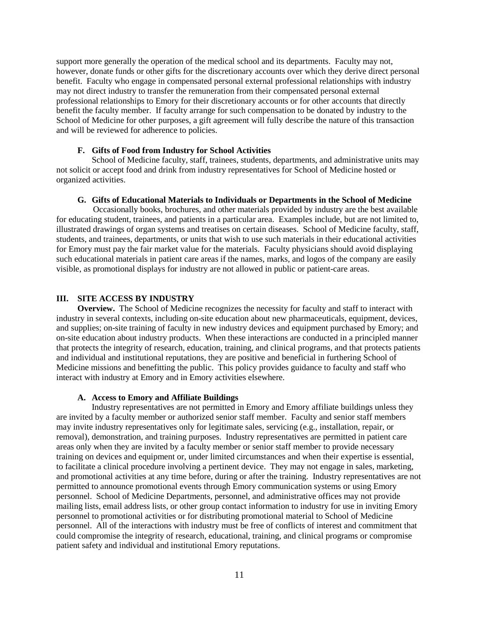support more generally the operation of the medical school and its departments. Faculty may not, however, donate funds or other gifts for the discretionary accounts over which they derive direct personal benefit. Faculty who engage in compensated personal external professional relationships with industry may not direct industry to transfer the remuneration from their compensated personal external professional relationships to Emory for their discretionary accounts or for other accounts that directly benefit the faculty member. If faculty arrange for such compensation to be donated by industry to the School of Medicine for other purposes, a gift agreement will fully describe the nature of this transaction and will be reviewed for adherence to policies.

#### **F. Gifts of Food from Industry for School Activities**

School of Medicine faculty, staff, trainees, students, departments, and administrative units may not solicit or accept food and drink from industry representatives for School of Medicine hosted or organized activities.

#### **G. Gifts of Educational Materials to Individuals or Departments in the School of Medicine**

 Occasionally books, brochures, and other materials provided by industry are the best available for educating student, trainees, and patients in a particular area. Examples include, but are not limited to, illustrated drawings of organ systems and treatises on certain diseases. School of Medicine faculty, staff, students, and trainees, departments, or units that wish to use such materials in their educational activities for Emory must pay the fair market value for the materials. Faculty physicians should avoid displaying such educational materials in patient care areas if the names, marks, and logos of the company are easily visible, as promotional displays for industry are not allowed in public or patient-care areas.

#### **III. SITE ACCESS BY INDUSTRY**

**Overview.** The School of Medicine recognizes the necessity for faculty and staff to interact with industry in several contexts, including on-site education about new pharmaceuticals, equipment, devices, and supplies; on-site training of faculty in new industry devices and equipment purchased by Emory; and on-site education about industry products. When these interactions are conducted in a principled manner that protects the integrity of research, education, training, and clinical programs, and that protects patients and individual and institutional reputations, they are positive and beneficial in furthering School of Medicine missions and benefitting the public. This policy provides guidance to faculty and staff who interact with industry at Emory and in Emory activities elsewhere.

#### **A. Access to Emory and Affiliate Buildings**

Industry representatives are not permitted in Emory and Emory affiliate buildings unless they are invited by a faculty member or authorized senior staff member. Faculty and senior staff members may invite industry representatives only for legitimate sales, servicing (e.g., installation, repair, or removal), demonstration, and training purposes. Industry representatives are permitted in patient care areas only when they are invited by a faculty member or senior staff member to provide necessary training on devices and equipment or, under limited circumstances and when their expertise is essential, to facilitate a clinical procedure involving a pertinent device. They may not engage in sales, marketing, and promotional activities at any time before, during or after the training. Industry representatives are not permitted to announce promotional events through Emory communication systems or using Emory personnel. School of Medicine Departments, personnel, and administrative offices may not provide mailing lists, email address lists, or other group contact information to industry for use in inviting Emory personnel to promotional activities or for distributing promotional material to School of Medicine personnel. All of the interactions with industry must be free of conflicts of interest and commitment that could compromise the integrity of research, educational, training, and clinical programs or compromise patient safety and individual and institutional Emory reputations.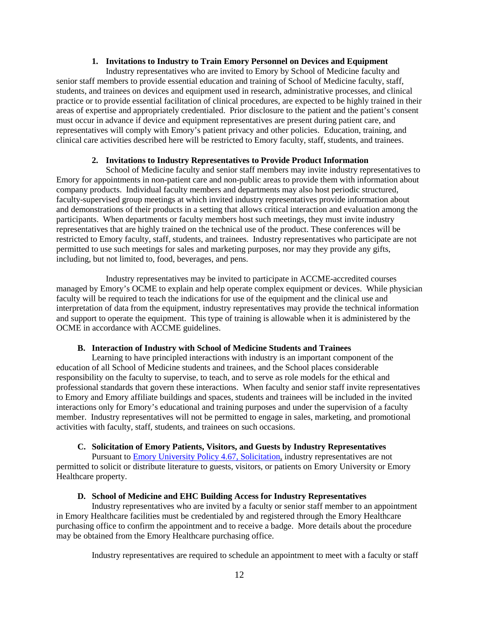#### **1. Invitations to Industry to Train Emory Personnel on Devices and Equipment**

Industry representatives who are invited to Emory by School of Medicine faculty and senior staff members to provide essential education and training of School of Medicine faculty, staff, students, and trainees on devices and equipment used in research, administrative processes, and clinical practice or to provide essential facilitation of clinical procedures, are expected to be highly trained in their areas of expertise and appropriately credentialed. Prior disclosure to the patient and the patient's consent must occur in advance if device and equipment representatives are present during patient care, and representatives will comply with Emory's patient privacy and other policies. Education, training, and clinical care activities described here will be restricted to Emory faculty, staff, students, and trainees.

#### **2. Invitations to Industry Representatives to Provide Product Information**

School of Medicine faculty and senior staff members may invite industry representatives to Emory for appointments in non-patient care and non-public areas to provide them with information about company products. Individual faculty members and departments may also host periodic structured, faculty-supervised group meetings at which invited industry representatives provide information about and demonstrations of their products in a setting that allows critical interaction and evaluation among the participants. When departments or faculty members host such meetings, they must invite industry representatives that are highly trained on the technical use of the product. These conferences will be restricted to Emory faculty, staff, students, and trainees. Industry representatives who participate are not permitted to use such meetings for sales and marketing purposes, nor may they provide any gifts, including, but not limited to, food, beverages, and pens.

Industry representatives may be invited to participate in ACCME-accredited courses managed by Emory's OCME to explain and help operate complex equipment or devices. While physician faculty will be required to teach the indications for use of the equipment and the clinical use and interpretation of data from the equipment, industry representatives may provide the technical information and support to operate the equipment. This type of training is allowable when it is administered by the OCME in accordance with ACCME guidelines.

#### **B. Interaction of Industry with School of Medicine Students and Trainees**

Learning to have principled interactions with industry is an important component of the education of all School of Medicine students and trainees, and the School places considerable responsibility on the faculty to supervise, to teach, and to serve as role models for the ethical and professional standards that govern these interactions. When faculty and senior staff invite representatives to Emory and Emory affiliate buildings and spaces, students and trainees will be included in the invited interactions only for Emory's educational and training purposes and under the supervision of a faculty member. Industry representatives will not be permitted to engage in sales, marketing, and promotional activities with faculty, staff, students, and trainees on such occasions.

# **C. Solicitation of Emory Patients, Visitors, and Guests by Industry Representatives**

Pursuant to [Emory University Policy 4.67, Solicitation,](http://policies.emory.edu/4.67) industry representatives are not permitted to solicit or distribute literature to guests, visitors, or patients on Emory University or Emory Healthcare property.

# **D. School of Medicine and EHC Building Access for Industry Representatives**

Industry representatives who are invited by a faculty or senior staff member to an appointment in Emory Healthcare facilities must be credentialed by and registered through the Emory Healthcare purchasing office to confirm the appointment and to receive a badge. More details about the procedure may be obtained from the Emory Healthcare purchasing office.

Industry representatives are required to schedule an appointment to meet with a faculty or staff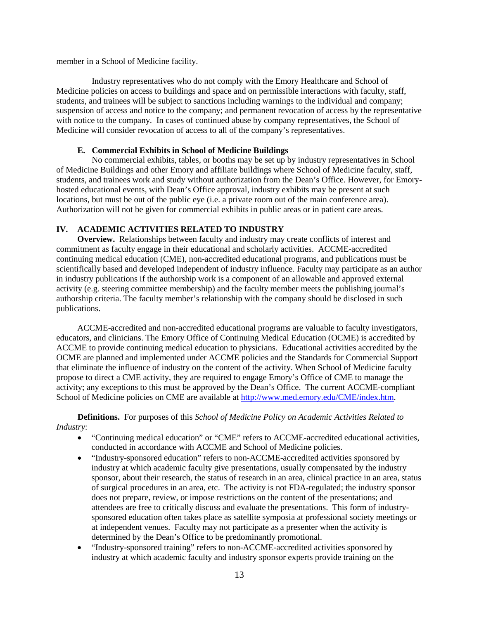member in a School of Medicine facility.

Industry representatives who do not comply with the Emory Healthcare and School of Medicine policies on access to buildings and space and on permissible interactions with faculty, staff, students, and trainees will be subject to sanctions including warnings to the individual and company; suspension of access and notice to the company; and permanent revocation of access by the representative with notice to the company. In cases of continued abuse by company representatives, the School of Medicine will consider revocation of access to all of the company's representatives.

#### **E. Commercial Exhibits in School of Medicine Buildings**

No commercial exhibits, tables, or booths may be set up by industry representatives in School of Medicine Buildings and other Emory and affiliate buildings where School of Medicine faculty, staff, students, and trainees work and study without authorization from the Dean's Office. However, for Emoryhosted educational events, with Dean's Office approval, industry exhibits may be present at such locations, but must be out of the public eye (i.e. a private room out of the main conference area). Authorization will not be given for commercial exhibits in public areas or in patient care areas.

#### **IV. ACADEMIC ACTIVITIES RELATED TO INDUSTRY**

**Overview.** Relationships between faculty and industry may create conflicts of interest and commitment as faculty engage in their educational and scholarly activities. ACCME-accredited continuing medical education (CME), non-accredited educational programs, and publications must be scientifically based and developed independent of industry influence. Faculty may participate as an author in industry publications if the authorship work is a component of an allowable and approved external activity (e.g. steering committee membership) and the faculty member meets the publishing journal's authorship criteria. The faculty member's relationship with the company should be disclosed in such publications.

ACCME-accredited and non-accredited educational programs are valuable to faculty investigators, educators, and clinicians. The Emory Office of Continuing Medical Education (OCME) is accredited by ACCME to provide continuing medical education to physicians. Educational activities accredited by the OCME are planned and implemented under ACCME policies and the Standards for Commercial Support that eliminate the influence of industry on the content of the activity. When School of Medicine faculty propose to direct a CME activity, they are required to engage Emory's Office of CME to manage the activity; any exceptions to this must be approved by the Dean's Office. The current ACCME-compliant School of Medicine policies on CME are available at [http://www.med.emory.edu/CME/index.htm.](http://www.med.emory.edu/CME/index.htm)

**Definitions.** For purposes of this *School of Medicine Policy on Academic Activities Related to Industry*:

- "Continuing medical education" or "CME" refers to ACCME-accredited educational activities, conducted in accordance with ACCME and School of Medicine policies.
- "Industry-sponsored education" refers to non-ACCME-accredited activities sponsored by industry at which academic faculty give presentations, usually compensated by the industry sponsor, about their research, the status of research in an area, clinical practice in an area, status of surgical procedures in an area, etc. The activity is not FDA-regulated; the industry sponsor does not prepare, review, or impose restrictions on the content of the presentations; and attendees are free to critically discuss and evaluate the presentations. This form of industrysponsored education often takes place as satellite symposia at professional society meetings or at independent venues. Faculty may not participate as a presenter when the activity is determined by the Dean's Office to be predominantly promotional.
- "Industry-sponsored training" refers to non-ACCME-accredited activities sponsored by industry at which academic faculty and industry sponsor experts provide training on the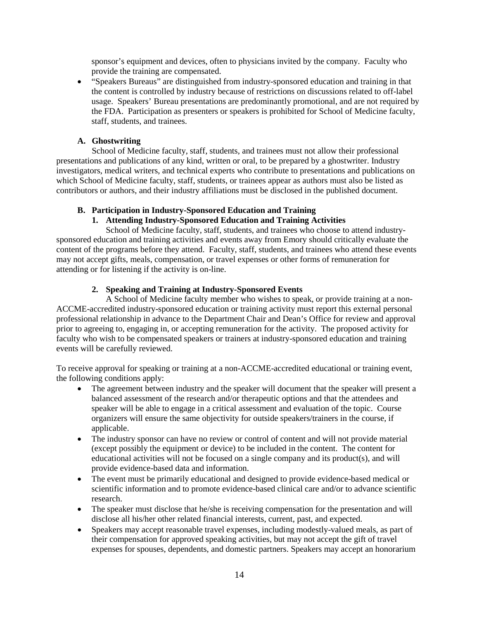sponsor's equipment and devices, often to physicians invited by the company. Faculty who provide the training are compensated.

• "Speakers Bureaus" are distinguished from industry-sponsored education and training in that the content is controlled by industry because of restrictions on discussions related to off-label usage. Speakers' Bureau presentations are predominantly promotional, and are not required by the FDA. Participation as presenters or speakers is prohibited for School of Medicine faculty, staff, students, and trainees.

# **A. Ghostwriting**

School of Medicine faculty, staff, students, and trainees must not allow their professional presentations and publications of any kind, written or oral, to be prepared by a ghostwriter. Industry investigators, medical writers, and technical experts who contribute to presentations and publications on which School of Medicine faculty, staff, students, or trainees appear as authors must also be listed as contributors or authors, and their industry affiliations must be disclosed in the published document.

# **B. Participation in Industry-Sponsored Education and Training**

# **1. Attending Industry-Sponsored Education and Training Activities**

School of Medicine faculty, staff, students, and trainees who choose to attend industrysponsored education and training activities and events away from Emory should critically evaluate the content of the programs before they attend. Faculty, staff, students, and trainees who attend these events may not accept gifts, meals, compensation, or travel expenses or other forms of remuneration for attending or for listening if the activity is on-line.

# **2. Speaking and Training at Industry-Sponsored Events**

A School of Medicine faculty member who wishes to speak, or provide training at a non-ACCME-accredited industry-sponsored education or training activity must report this external personal professional relationship in advance to the Department Chair and Dean's Office for review and approval prior to agreeing to, engaging in, or accepting remuneration for the activity. The proposed activity for faculty who wish to be compensated speakers or trainers at industry-sponsored education and training events will be carefully reviewed.

To receive approval for speaking or training at a non-ACCME-accredited educational or training event, the following conditions apply:

- The agreement between industry and the speaker will document that the speaker will present a balanced assessment of the research and/or therapeutic options and that the attendees and speaker will be able to engage in a critical assessment and evaluation of the topic. Course organizers will ensure the same objectivity for outside speakers/trainers in the course, if applicable.
- The industry sponsor can have no review or control of content and will not provide material (except possibly the equipment or device) to be included in the content. The content for educational activities will not be focused on a single company and its product(s), and will provide evidence-based data and information.
- The event must be primarily educational and designed to provide evidence-based medical or scientific information and to promote evidence-based clinical care and/or to advance scientific research.
- The speaker must disclose that he/she is receiving compensation for the presentation and will disclose all his/her other related financial interests, current, past, and expected.
- Speakers may accept reasonable travel expenses, including modestly-valued meals, as part of their compensation for approved speaking activities, but may not accept the gift of travel expenses for spouses, dependents, and domestic partners. Speakers may accept an honorarium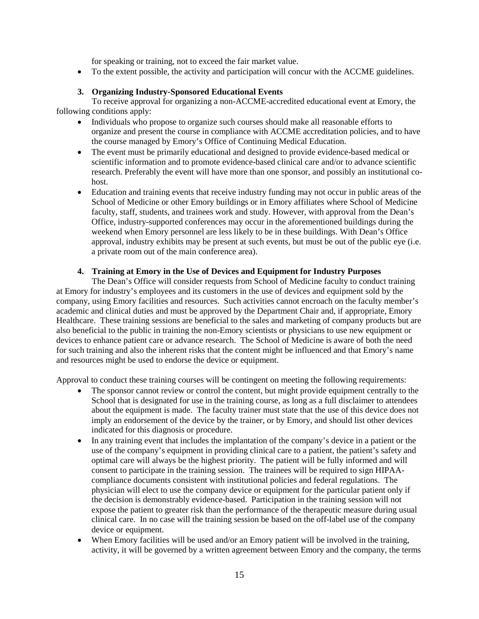for speaking or training, not to exceed the fair market value.

• To the extent possible, the activity and participation will concur with the ACCME guidelines.

# **3. Organizing Industry-Sponsored Educational Events**

To receive approval for organizing a non-ACCME-accredited educational event at Emory, the following conditions apply:

- Individuals who propose to organize such courses should make all reasonable efforts to organize and present the course in compliance with ACCME accreditation policies, and to have the course managed by Emory's Office of Continuing Medical Education.
- The event must be primarily educational and designed to provide evidence-based medical or scientific information and to promote evidence-based clinical care and/or to advance scientific research. Preferably the event will have more than one sponsor, and possibly an institutional cohost.
- Education and training events that receive industry funding may not occur in public areas of the School of Medicine or other Emory buildings or in Emory affiliates where School of Medicine faculty, staff, students, and trainees work and study. However, with approval from the Dean's Office, industry-supported conferences may occur in the aforementioned buildings during the weekend when Emory personnel are less likely to be in these buildings. With Dean's Office approval, industry exhibits may be present at such events, but must be out of the public eye (i.e. a private room out of the main conference area).

#### **4. Training at Emory in the Use of Devices and Equipment for Industry Purposes**

The Dean's Office will consider requests from School of Medicine faculty to conduct training at Emory for industry's employees and its customers in the use of devices and equipment sold by the company, using Emory facilities and resources. Such activities cannot encroach on the faculty member's academic and clinical duties and must be approved by the Department Chair and, if appropriate, Emory Healthcare. These training sessions are beneficial to the sales and marketing of company products but are also beneficial to the public in training the non-Emory scientists or physicians to use new equipment or devices to enhance patient care or advance research. The School of Medicine is aware of both the need for such training and also the inherent risks that the content might be influenced and that Emory's name and resources might be used to endorse the device or equipment.

Approval to conduct these training courses will be contingent on meeting the following requirements:

- The sponsor cannot review or control the content, but might provide equipment centrally to the School that is designated for use in the training course, as long as a full disclaimer to attendees about the equipment is made. The faculty trainer must state that the use of this device does not imply an endorsement of the device by the trainer, or by Emory, and should list other devices indicated for this diagnosis or procedure.
- In any training event that includes the implantation of the company's device in a patient or the use of the company's equipment in providing clinical care to a patient, the patient's safety and optimal care will always be the highest priority. The patient will be fully informed and will consent to participate in the training session. The trainees will be required to sign HIPAAcompliance documents consistent with institutional policies and federal regulations. The physician will elect to use the company device or equipment for the particular patient only if the decision is demonstrably evidence-based. Participation in the training session will not expose the patient to greater risk than the performance of the therapeutic measure during usual clinical care. In no case will the training session be based on the off-label use of the company device or equipment.
- When Emory facilities will be used and/or an Emory patient will be involved in the training, activity, it will be governed by a written agreement between Emory and the company, the terms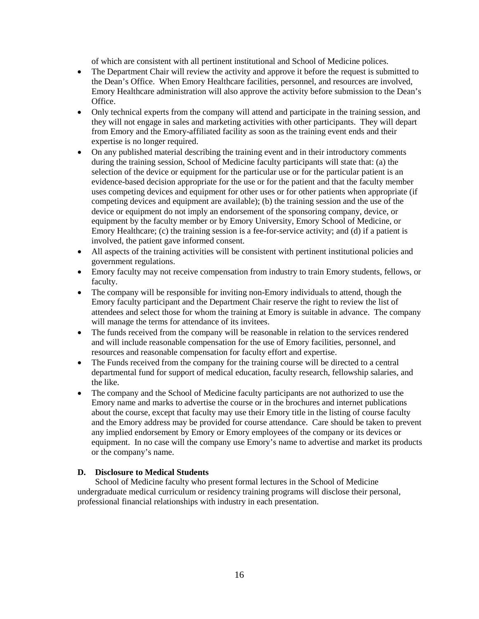of which are consistent with all pertinent institutional and School of Medicine polices.

- The Department Chair will review the activity and approve it before the request is submitted to the Dean's Office. When Emory Healthcare facilities, personnel, and resources are involved, Emory Healthcare administration will also approve the activity before submission to the Dean's Office.
- Only technical experts from the company will attend and participate in the training session, and they will not engage in sales and marketing activities with other participants. They will depart from Emory and the Emory-affiliated facility as soon as the training event ends and their expertise is no longer required.
- On any published material describing the training event and in their introductory comments during the training session, School of Medicine faculty participants will state that: (a) the selection of the device or equipment for the particular use or for the particular patient is an evidence-based decision appropriate for the use or for the patient and that the faculty member uses competing devices and equipment for other uses or for other patients when appropriate (if competing devices and equipment are available); (b) the training session and the use of the device or equipment do not imply an endorsement of the sponsoring company, device, or equipment by the faculty member or by Emory University, Emory School of Medicine, or Emory Healthcare; (c) the training session is a fee-for-service activity; and (d) if a patient is involved, the patient gave informed consent.
- All aspects of the training activities will be consistent with pertinent institutional policies and government regulations.
- Emory faculty may not receive compensation from industry to train Emory students, fellows, or faculty.
- The company will be responsible for inviting non-Emory individuals to attend, though the Emory faculty participant and the Department Chair reserve the right to review the list of attendees and select those for whom the training at Emory is suitable in advance. The company will manage the terms for attendance of its invitees.
- The funds received from the company will be reasonable in relation to the services rendered and will include reasonable compensation for the use of Emory facilities, personnel, and resources and reasonable compensation for faculty effort and expertise.
- The Funds received from the company for the training course will be directed to a central departmental fund for support of medical education, faculty research, fellowship salaries, and the like.
- The company and the School of Medicine faculty participants are not authorized to use the Emory name and marks to advertise the course or in the brochures and internet publications about the course, except that faculty may use their Emory title in the listing of course faculty and the Emory address may be provided for course attendance. Care should be taken to prevent any implied endorsement by Emory or Emory employees of the company or its devices or equipment. In no case will the company use Emory's name to advertise and market its products or the company's name.

#### **D. Disclosure to Medical Students**

School of Medicine faculty who present formal lectures in the School of Medicine undergraduate medical curriculum or residency training programs will disclose their personal, professional financial relationships with industry in each presentation.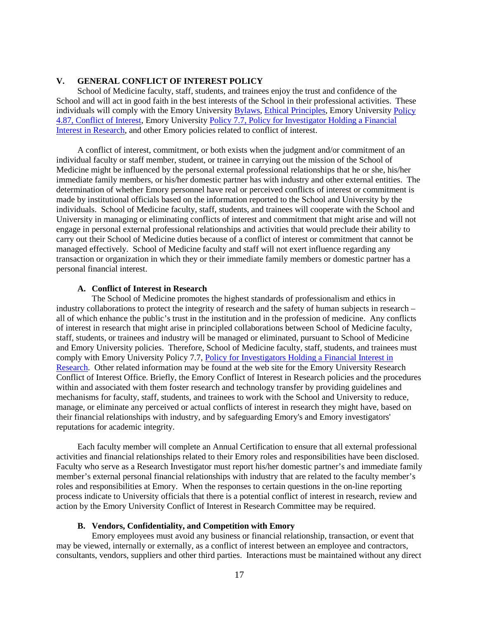#### **V. GENERAL CONFLICT OF INTEREST POLICY**

School of Medicine faculty, staff, students, and trainees enjoy the trust and confidence of the School and will act in good faith in the best interests of the School in their professional activities. These individuals will comply with the Emory Universit[y Bylaws,](http://secretary.emory.edu/university_governance/bylaws.html) [Ethical Principles,](http://provost.emory.edu/faculty/handbook/chapters/two.html) Emory University Policy 4.87, [Conflict of Interest,](http://policies.emory.edu/4.87) Emory University Policy 7.7, [Policy for Investigator Holding a Financial](http://policies.emory.edu/7.7)  [Interest in Research,](http://policies.emory.edu/7.7) and other Emory policies related to conflict of interest.

A conflict of interest, commitment, or both exists when the judgment and/or commitment of an individual faculty or staff member, student, or trainee in carrying out the mission of the School of Medicine might be influenced by the personal external professional relationships that he or she, his/her immediate family members, or his/her domestic partner has with industry and other external entities. The determination of whether Emory personnel have real or perceived conflicts of interest or commitment is made by institutional officials based on the information reported to the School and University by the individuals. School of Medicine faculty, staff, students, and trainees will cooperate with the School and University in managing or eliminating conflicts of interest and commitment that might arise and will not engage in personal external professional relationships and activities that would preclude their ability to carry out their School of Medicine duties because of a conflict of interest or commitment that cannot be managed effectively. School of Medicine faculty and staff will not exert influence regarding any transaction or organization in which they or their immediate family members or domestic partner has a personal financial interest.

#### **A. Conflict of Interest in Research**

The School of Medicine promotes the highest standards of professionalism and ethics in industry collaborations to protect the integrity of research and the safety of human subjects in research – all of which enhance the public's trust in the institution and in the profession of medicine. Any conflicts of interest in research that might arise in principled collaborations between School of Medicine faculty, staff, students, or trainees and industry will be managed or eliminated, pursuant to School of Medicine and Emory University policies. Therefore, School of Medicine faculty, staff, students, and trainees must comply with Emory University Policy 7.7, [Policy for Investigators Holding a Financial Interest in](http://policies.emory.edu/7.7)  [Research.](http://policies.emory.edu/7.7) Other related information may be found at the web site for the Emory University Research Conflict of Interest Office. Briefly, the Emory Conflict of Interest in Research policies and the procedures within and associated with them foster research and technology transfer by providing guidelines and mechanisms for faculty, staff, students, and trainees to work with the School and University to reduce, manage, or eliminate any perceived or actual conflicts of interest in research they might have, based on their financial relationships with industry, and by safeguarding Emory's and Emory investigators' reputations for academic integrity.

Each faculty member will complete an Annual Certification to ensure that all external professional activities and financial relationships related to their Emory roles and responsibilities have been disclosed. Faculty who serve as a Research Investigator must report his/her domestic partner's and immediate family member's external personal financial relationships with industry that are related to the faculty member's roles and responsibilities at Emory. When the responses to certain questions in the on-line reporting process indicate to University officials that there is a potential conflict of interest in research, review and action by the Emory University Conflict of Interest in Research Committee may be required.

#### **B. Vendors, Confidentiality, and Competition with Emory**

Emory employees must avoid any business or financial relationship, transaction, or event that may be viewed, internally or externally, as a conflict of interest between an employee and contractors, consultants, vendors, suppliers and other third parties. Interactions must be maintained without any direct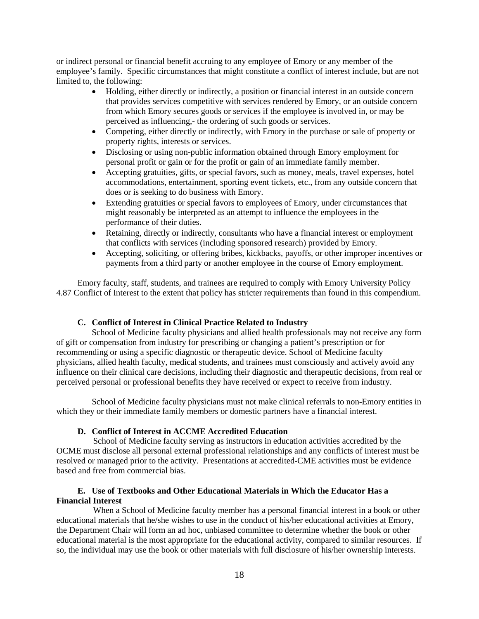or indirect personal or financial benefit accruing to any employee of Emory or any member of the employee's family. Specific circumstances that might constitute a conflict of interest include, but are not limited to, the following:

- Holding, either directly or indirectly, a position or financial interest in an outside concern that provides services competitive with services rendered by Emory, or an outside concern from which Emory secures goods or services if the employee is involved in, or may be perceived as influencing,- the ordering of such goods or services.
- Competing, either directly or indirectly, with Emory in the purchase or sale of property or property rights, interests or services.
- Disclosing or using non-public information obtained through Emory employment for personal profit or gain or for the profit or gain of an immediate family member.
- Accepting gratuities, gifts, or special favors, such as money, meals, travel expenses, hotel accommodations, entertainment, sporting event tickets, etc., from any outside concern that does or is seeking to do business with Emory.
- Extending gratuities or special favors to employees of Emory, under circumstances that might reasonably be interpreted as an attempt to influence the employees in the performance of their duties.
- Retaining, directly or indirectly, consultants who have a financial interest or employment that conflicts with services (including sponsored research) provided by Emory.
- Accepting, soliciting, or offering bribes, kickbacks, payoffs, or other improper incentives or payments from a third party or another employee in the course of Emory employment.

Emory faculty, staff, students, and trainees are required to comply with Emory University Policy 4.87 Conflict of Interest to the extent that policy has stricter requirements than found in this compendium.

#### **C. Conflict of Interest in Clinical Practice Related to Industry**

School of Medicine faculty physicians and allied health professionals may not receive any form of gift or compensation from industry for prescribing or changing a patient's prescription or for recommending or using a specific diagnostic or therapeutic device. School of Medicine faculty physicians, allied health faculty, medical students, and trainees must consciously and actively avoid any influence on their clinical care decisions, including their diagnostic and therapeutic decisions, from real or perceived personal or professional benefits they have received or expect to receive from industry.

School of Medicine faculty physicians must not make clinical referrals to non-Emory entities in which they or their immediate family members or domestic partners have a financial interest.

#### **D. Conflict of Interest in ACCME Accredited Education**

 School of Medicine faculty serving as instructors in education activities accredited by the OCME must disclose all personal external professional relationships and any conflicts of interest must be resolved or managed prior to the activity. Presentations at accredited-CME activities must be evidence based and free from commercial bias.

#### **E. Use of Textbooks and Other Educational Materials in Which the Educator Has a Financial Interest**

 When a School of Medicine faculty member has a personal financial interest in a book or other educational materials that he/she wishes to use in the conduct of his/her educational activities at Emory, the Department Chair will form an ad hoc, unbiased committee to determine whether the book or other educational material is the most appropriate for the educational activity, compared to similar resources. If so, the individual may use the book or other materials with full disclosure of his/her ownership interests.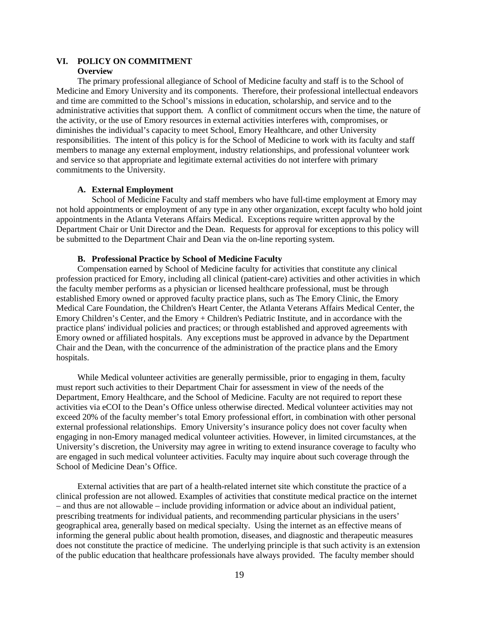#### **VI. POLICY ON COMMITMENT Overview**

The primary professional allegiance of School of Medicine faculty and staff is to the School of Medicine and Emory University and its components. Therefore, their professional intellectual endeavors and time are committed to the School's missions in education, scholarship, and service and to the administrative activities that support them. A conflict of commitment occurs when the time, the nature of the activity, or the use of Emory resources in external activities interferes with, compromises, or diminishes the individual's capacity to meet School, Emory Healthcare, and other University responsibilities. The intent of this policy is for the School of Medicine to work with its faculty and staff members to manage any external employment, industry relationships, and professional volunteer work and service so that appropriate and legitimate external activities do not interfere with primary commitments to the University.

#### **A. External Employment**

School of Medicine Faculty and staff members who have full-time employment at Emory may not hold appointments or employment of any type in any other organization, except faculty who hold joint appointments in the Atlanta Veterans Affairs Medical. Exceptions require written approval by the Department Chair or Unit Director and the Dean. Requests for approval for exceptions to this policy will be submitted to the Department Chair and Dean via the on-line reporting system.

#### **B. Professional Practice by School of Medicine Faculty**

Compensation earned by School of Medicine faculty for activities that constitute any clinical profession practiced for Emory, including all clinical (patient-care) activities and other activities in which the faculty member performs as a physician or licensed healthcare professional, must be through established Emory owned or approved faculty practice plans, such as The Emory Clinic, the Emory Medical Care Foundation, the Children's Heart Center, the Atlanta Veterans Affairs Medical Center, the Emory Children's Center, and the Emory + Children's Pediatric Institute, and in accordance with the practice plans' individual policies and practices; or through established and approved agreements with Emory owned or affiliated hospitals. Any exceptions must be approved in advance by the Department Chair and the Dean, with the concurrence of the administration of the practice plans and the Emory hospitals.

While Medical volunteer activities are generally permissible, prior to engaging in them, faculty must report such activities to their Department Chair for assessment in view of the needs of the Department, Emory Healthcare, and the School of Medicine. Faculty are not required to report these activities via eCOI to the Dean's Office unless otherwise directed. Medical volunteer activities may not exceed 20% of the faculty member's total Emory professional effort, in combination with other personal external professional relationships. Emory University's insurance policy does not cover faculty when engaging in non-Emory managed medical volunteer activities. However, in limited circumstances, at the University's discretion, the University may agree in writing to extend insurance coverage to faculty who are engaged in such medical volunteer activities. Faculty may inquire about such coverage through the School of Medicine Dean's Office.

External activities that are part of a health-related internet site which constitute the practice of a clinical profession are not allowed. Examples of activities that constitute medical practice on the internet – and thus are not allowable – include providing information or advice about an individual patient, prescribing treatments for individual patients, and recommending particular physicians in the users' geographical area, generally based on medical specialty. Using the internet as an effective means of informing the general public about health promotion, diseases, and diagnostic and therapeutic measures does not constitute the practice of medicine. The underlying principle is that such activity is an extension of the public education that healthcare professionals have always provided. The faculty member should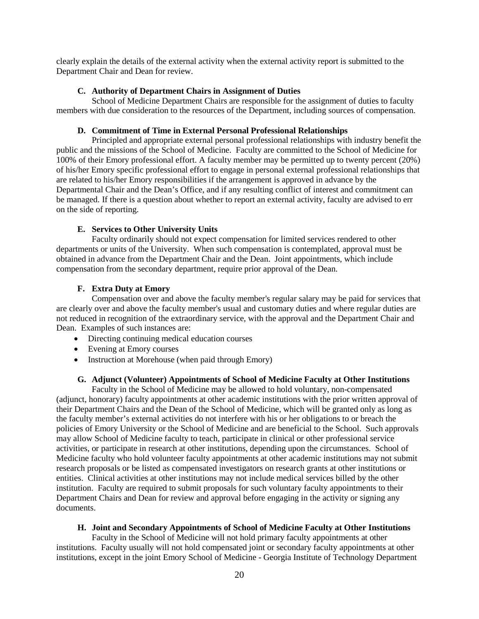clearly explain the details of the external activity when the external activity report is submitted to the Department Chair and Dean for review.

#### **C. Authority of Department Chairs in Assignment of Duties**

School of Medicine Department Chairs are responsible for the assignment of duties to faculty members with due consideration to the resources of the Department, including sources of compensation.

#### **D. Commitment of Time in External Personal Professional Relationships**

Principled and appropriate external personal professional relationships with industry benefit the public and the missions of the School of Medicine. Faculty are committed to the School of Medicine for 100% of their Emory professional effort. A faculty member may be permitted up to twenty percent (20%) of his/her Emory specific professional effort to engage in personal external professional relationships that are related to his/her Emory responsibilities if the arrangement is approved in advance by the Departmental Chair and the Dean's Office, and if any resulting conflict of interest and commitment can be managed. If there is a question about whether to report an external activity, faculty are advised to err on the side of reporting.

#### **E. Services to Other University Units**

Faculty ordinarily should not expect compensation for limited services rendered to other departments or units of the University. When such compensation is contemplated, approval must be obtained in advance from the Department Chair and the Dean. Joint appointments, which include compensation from the secondary department, require prior approval of the Dean.

#### **F. Extra Duty at Emory**

Compensation over and above the faculty member's regular salary may be paid for services that are clearly over and above the faculty member's usual and customary duties and where regular duties are not reduced in recognition of the extraordinary service, with the approval and the Department Chair and Dean. Examples of such instances are:

- Directing continuing medical education courses
- Evening at Emory courses
- Instruction at Morehouse (when paid through Emory)

#### **G. Adjunct (Volunteer) Appointments of School of Medicine Faculty at Other Institutions**

Faculty in the School of Medicine may be allowed to hold voluntary, non-compensated (adjunct, honorary) faculty appointments at other academic institutions with the prior written approval of their Department Chairs and the Dean of the School of Medicine, which will be granted only as long as the faculty member's external activities do not interfere with his or her obligations to or breach the policies of Emory University or the School of Medicine and are beneficial to the School. Such approvals may allow School of Medicine faculty to teach, participate in clinical or other professional service activities, or participate in research at other institutions, depending upon the circumstances. School of Medicine faculty who hold volunteer faculty appointments at other academic institutions may not submit research proposals or be listed as compensated investigators on research grants at other institutions or entities. Clinical activities at other institutions may not include medical services billed by the other institution. Faculty are required to submit proposals for such voluntary faculty appointments to their Department Chairs and Dean for review and approval before engaging in the activity or signing any documents.

#### **H. Joint and Secondary Appointments of School of Medicine Faculty at Other Institutions**

Faculty in the School of Medicine will not hold primary faculty appointments at other institutions. Faculty usually will not hold compensated joint or secondary faculty appointments at other institutions, except in the joint Emory School of Medicine - Georgia Institute of Technology Department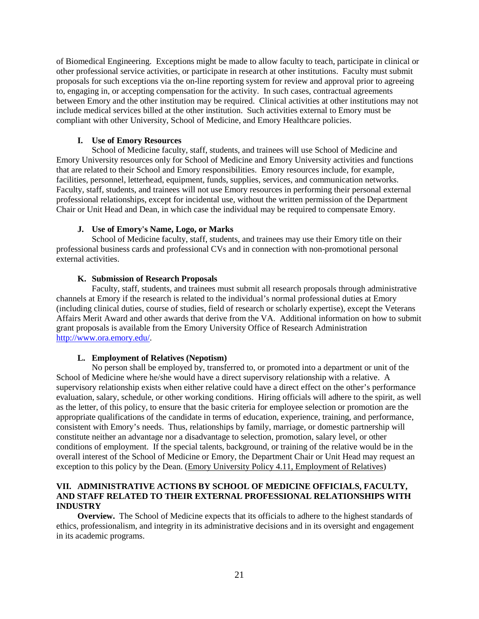of Biomedical Engineering. Exceptions might be made to allow faculty to teach, participate in clinical or other professional service activities, or participate in research at other institutions. Faculty must submit proposals for such exceptions via the on-line reporting system for review and approval prior to agreeing to, engaging in, or accepting compensation for the activity. In such cases, contractual agreements between Emory and the other institution may be required. Clinical activities at other institutions may not include medical services billed at the other institution. Such activities external to Emory must be compliant with other University, School of Medicine, and Emory Healthcare policies.

# **I. Use of Emory Resources**

School of Medicine faculty, staff, students, and trainees will use School of Medicine and Emory University resources only for School of Medicine and Emory University activities and functions that are related to their School and Emory responsibilities. Emory resources include, for example, facilities, personnel, letterhead, equipment, funds, supplies, services, and communication networks. Faculty, staff, students, and trainees will not use Emory resources in performing their personal external professional relationships, except for incidental use, without the written permission of the Department Chair or Unit Head and Dean, in which case the individual may be required to compensate Emory.

#### **J. Use of Emory's Name, Logo, or Marks**

School of Medicine faculty, staff, students, and trainees may use their Emory title on their professional business cards and professional CVs and in connection with non-promotional personal external activities.

#### **K. Submission of Research Proposals**

Faculty, staff, students, and trainees must submit all research proposals through administrative channels at Emory if the research is related to the individual's normal professional duties at Emory (including clinical duties, course of studies, field of research or scholarly expertise), except the Veterans Affairs Merit Award and other awards that derive from the VA. Additional information on how to submit grant proposals is available from the Emory University Office of Research Administration [http://www.ora.emory.edu/.](http://www.ora.emory.edu/)

#### **L. Employment of Relatives (Nepotism)**

No person shall be employed by, transferred to, or promoted into a department or unit of the School of Medicine where he/she would have a direct supervisory relationship with a relative. A supervisory relationship exists when either relative could have a direct effect on the other's performance evaluation, salary, schedule, or other working conditions. Hiring officials will adhere to the spirit, as well as the letter, of this policy, to ensure that the basic criteria for employee selection or promotion are the appropriate qualifications of the candidate in terms of education, experience, training, and performance, consistent with Emory's needs. Thus, relationships by family, marriage, or domestic partnership will constitute neither an advantage nor a disadvantage to selection, promotion, salary level, or other conditions of employment. If the special talents, background, or training of the relative would be in the overall interest of the School of Medicine or Emory, the Department Chair or Unit Head may request an exception to this policy by the Dean. (Emory University Policy 4.11, Employment of Relatives)

#### **VII. ADMINISTRATIVE ACTIONS BY SCHOOL OF MEDICINE OFFICIALS, FACULTY, AND STAFF RELATED TO THEIR EXTERNAL PROFESSIONAL RELATIONSHIPS WITH INDUSTRY**

**Overview.** The School of Medicine expects that its officials to adhere to the highest standards of ethics, professionalism, and integrity in its administrative decisions and in its oversight and engagement in its academic programs.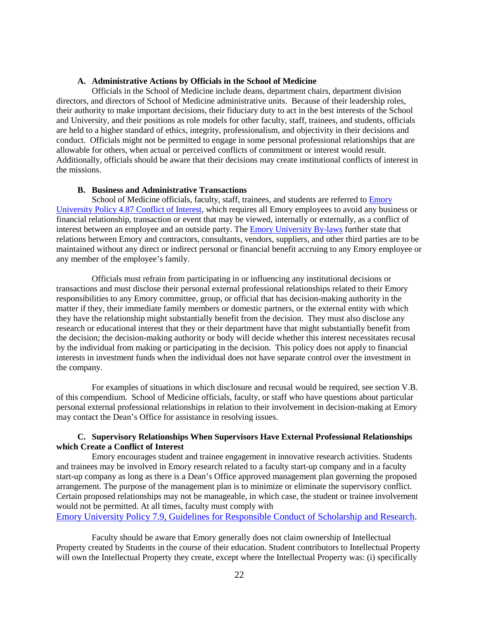#### **A. Administrative Actions by Officials in the School of Medicine**

Officials in the School of Medicine include deans, department chairs, department division directors, and directors of School of Medicine administrative units. Because of their leadership roles, their authority to make important decisions, their fiduciary duty to act in the best interests of the School and University, and their positions as role models for other faculty, staff, trainees, and students, officials are held to a higher standard of ethics, integrity, professionalism, and objectivity in their decisions and conduct. Officials might not be permitted to engage in some personal professional relationships that are allowable for others, when actual or perceived conflicts of commitment or interest would result. Additionally, officials should be aware that their decisions may create institutional conflicts of interest in the missions.

#### **B. Business and Administrative Transactions**

School of Medicine officials, faculty, staff, trainees, and students are referred to Emory [University Policy 4.87 Conflict of Interest,](http://policies.emory.edu/4.87) which requires all Emory employees to avoid any business or financial relationship, transaction or event that may be viewed, internally or externally, as a conflict of interest between an employee and an outside party. The [Emory University By-laws](http://secretary.emory.edu/university_governance/bylaws.html) further state that relations between Emory and contractors, consultants, vendors, suppliers, and other third parties are to be maintained without any direct or indirect personal or financial benefit accruing to any Emory employee or any member of the employee's family.

Officials must refrain from participating in or influencing any institutional decisions or transactions and must disclose their personal external professional relationships related to their Emory responsibilities to any Emory committee, group, or official that has decision-making authority in the matter if they, their immediate family members or domestic partners, or the external entity with which they have the relationship might substantially benefit from the decision. They must also disclose any research or educational interest that they or their department have that might substantially benefit from the decision; the decision-making authority or body will decide whether this interest necessitates recusal by the individual from making or participating in the decision. This policy does not apply to financial interests in investment funds when the individual does not have separate control over the investment in the company.

For examples of situations in which disclosure and recusal would be required, see section V.B. of this compendium. School of Medicine officials, faculty, or staff who have questions about particular personal external professional relationships in relation to their involvement in decision-making at Emory may contact the Dean's Office for assistance in resolving issues.

#### **C. Supervisory Relationships When Supervisors Have External Professional Relationships which Create a Conflict of Interest**

Emory encourages student and trainee engagement in innovative research activities. Students and trainees may be involved in Emory research related to a faculty start-up company and in a faculty start-up company as long as there is a Dean's Office approved management plan governing the proposed arrangement. The purpose of the management plan is to minimize or eliminate the supervisory conflict. Certain proposed relationships may not be manageable, in which case, the student or trainee involvement would not be permitted. At all times, faculty must comply with

Emory University Policy 7.9, [Guidelines for Responsible Conduct of Scholarship and Research.](http://policies.emory.edu/7.9)

Faculty should be aware that Emory generally does not claim ownership of Intellectual Property created by Students in the course of their education. Student contributors to Intellectual Property will own the Intellectual Property they create, except where the Intellectual Property was: (i) specifically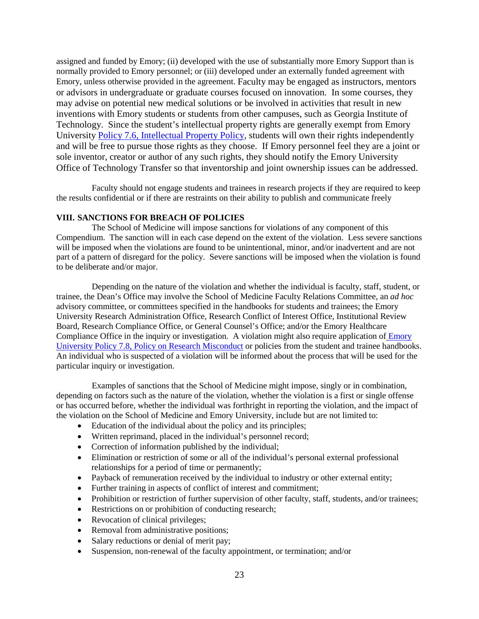assigned and funded by Emory; (ii) developed with the use of substantially more Emory Support than is normally provided to Emory personnel; or (iii) developed under an externally funded agreement with Emory, unless otherwise provided in the agreement. Faculty may be engaged as instructors, mentors or advisors in undergraduate or graduate courses focused on innovation. In some courses, they may advise on potential new medical solutions or be involved in activities that result in new inventions with Emory students or students from other campuses, such as Georgia Institute of Technology. Since the student's intellectual property rights are generally exempt from Emory University [Policy 7.6, Intellectual Property Policy,](http://policies.emory.edu/7.6) students will own their rights independently and will be free to pursue those rights as they choose. If Emory personnel feel they are a joint or sole inventor, creator or author of any such rights, they should notify the Emory University Office of Technology Transfer so that inventorship and joint ownership issues can be addressed.

Faculty should not engage students and trainees in research projects if they are required to keep the results confidential or if there are restraints on their ability to publish and communicate freely

#### **VIII. SANCTIONS FOR BREACH OF POLICIES**

The School of Medicine will impose sanctions for violations of any component of this Compendium. The sanction will in each case depend on the extent of the violation. Less severe sanctions will be imposed when the violations are found to be unintentional, minor, and/or inadvertent and are not part of a pattern of disregard for the policy. Severe sanctions will be imposed when the violation is found to be deliberate and/or major.

Depending on the nature of the violation and whether the individual is faculty, staff, student, or trainee, the Dean's Office may involve the School of Medicine Faculty Relations Committee, an *ad hoc* advisory committee, or committees specified in the handbooks for students and trainees; the Emory University Research Administration Office, Research Conflict of Interest Office, Institutional Review Board, Research Compliance Office, or General Counsel's Office; and/or the Emory Healthcare Compliance Office in the inquiry or investigation. A violation might also require application of Emory [University Policy 7.8, Policy on Research Misconduct](http://policies.emory.edu/7.8) or policies from the student and trainee handbooks. An individual who is suspected of a violation will be informed about the process that will be used for the particular inquiry or investigation.

Examples of sanctions that the School of Medicine might impose, singly or in combination, depending on factors such as the nature of the violation, whether the violation is a first or single offense or has occurred before, whether the individual was forthright in reporting the violation, and the impact of the violation on the School of Medicine and Emory University, include but are not limited to:

- Education of the individual about the policy and its principles;
- Written reprimand, placed in the individual's personnel record;
- Correction of information published by the individual;
- Elimination or restriction of some or all of the individual's personal external professional relationships for a period of time or permanently;
- Payback of remuneration received by the individual to industry or other external entity;
- Further training in aspects of conflict of interest and commitment;
- Prohibition or restriction of further supervision of other faculty, staff, students, and/or trainees;
- Restrictions on or prohibition of conducting research;
- Revocation of clinical privileges;
- Removal from administrative positions;
- Salary reductions or denial of merit pay;
- Suspension, non-renewal of the faculty appointment, or termination; and/or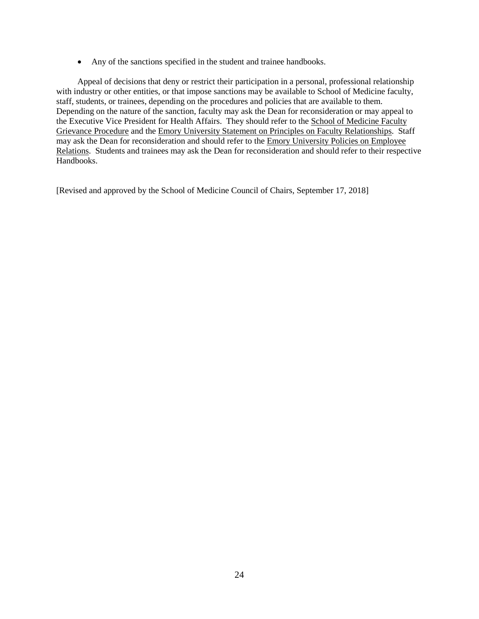• Any of the sanctions specified in the student and trainee handbooks.

Appeal of decisions that deny or restrict their participation in a personal, professional relationship with industry or other entities, or that impose sanctions may be available to School of Medicine faculty, staff, students, or trainees, depending on the procedures and policies that are available to them. Depending on the nature of the sanction, faculty may ask the Dean for reconsideration or may appeal to the Executive Vice President for Health Affairs. They should refer to the School of Medicine Faculty Grievance Procedure and the Emory University Statement on Principles on Faculty Relationships. Staff may ask the Dean for reconsideration and should refer to the Emory University Policies on Employee Relations. Students and trainees may ask the Dean for reconsideration and should refer to their respective Handbooks.

[Revised and approved by the School of Medicine Council of Chairs, September 17, 2018]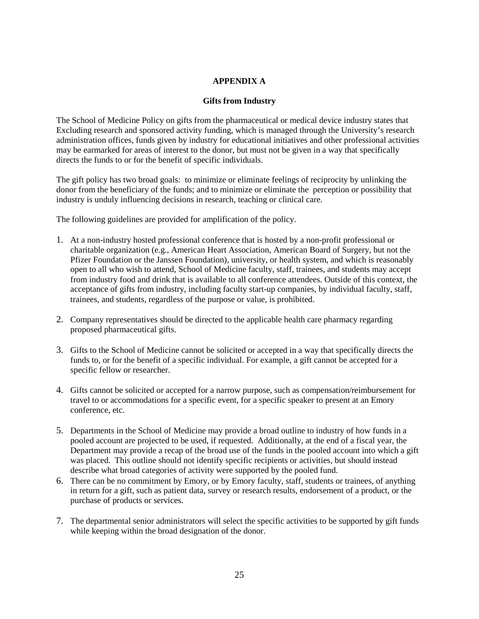# **APPENDIX A**

#### **Gifts from Industry**

The School of Medicine Policy on gifts from the pharmaceutical or medical device industry states that Excluding research and sponsored activity funding, which is managed through the University's research administration offices, funds given by industry for educational initiatives and other professional activities may be earmarked for areas of interest to the donor, but must not be given in a way that specifically directs the funds to or for the benefit of specific individuals.

The gift policy has two broad goals: to minimize or eliminate feelings of reciprocity by unlinking the donor from the beneficiary of the funds; and to minimize or eliminate the perception or possibility that industry is unduly influencing decisions in research, teaching or clinical care.

The following guidelines are provided for amplification of the policy.

- 1. At a non-industry hosted professional conference that is hosted by a non-profit professional or charitable organization (e.g., American Heart Association, American Board of Surgery, but not the Pfizer Foundation or the Janssen Foundation), university, or health system, and which is reasonably open to all who wish to attend, School of Medicine faculty, staff, trainees, and students may accept from industry food and drink that is available to all conference attendees. Outside of this context, the acceptance of gifts from industry, including faculty start-up companies, by individual faculty, staff, trainees, and students, regardless of the purpose or value, is prohibited.
- 2. Company representatives should be directed to the applicable health care pharmacy regarding proposed pharmaceutical gifts.
- 3. Gifts to the School of Medicine cannot be solicited or accepted in a way that specifically directs the funds to, or for the benefit of a specific individual. For example, a gift cannot be accepted for a specific fellow or researcher.
- 4. Gifts cannot be solicited or accepted for a narrow purpose, such as compensation/reimbursement for travel to or accommodations for a specific event, for a specific speaker to present at an Emory conference, etc.
- 5. Departments in the School of Medicine may provide a broad outline to industry of how funds in a pooled account are projected to be used, if requested. Additionally, at the end of a fiscal year, the Department may provide a recap of the broad use of the funds in the pooled account into which a gift was placed. This outline should not identify specific recipients or activities, but should instead describe what broad categories of activity were supported by the pooled fund.
- 6. There can be no commitment by Emory, or by Emory faculty, staff, students or trainees, of anything in return for a gift, such as patient data, survey or research results, endorsement of a product, or the purchase of products or services.
- 7. The departmental senior administrators will select the specific activities to be supported by gift funds while keeping within the broad designation of the donor.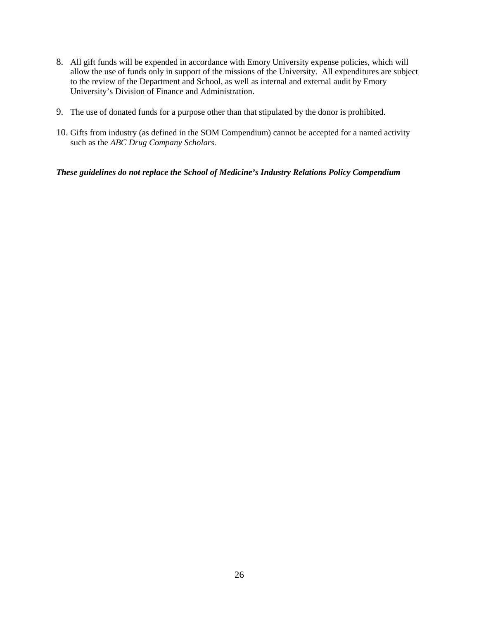- 8. All gift funds will be expended in accordance with Emory University expense policies, which will allow the use of funds only in support of the missions of the University. All expenditures are subject to the review of the Department and School, as well as internal and external audit by Emory University's Division of Finance and Administration.
- 9. The use of donated funds for a purpose other than that stipulated by the donor is prohibited.
- 10. Gifts from industry (as defined in the SOM Compendium) cannot be accepted for a named activity such as the *ABC Drug Company Scholars*.

*These guidelines do not replace the School of Medicine's Industry Relations Policy Compendium*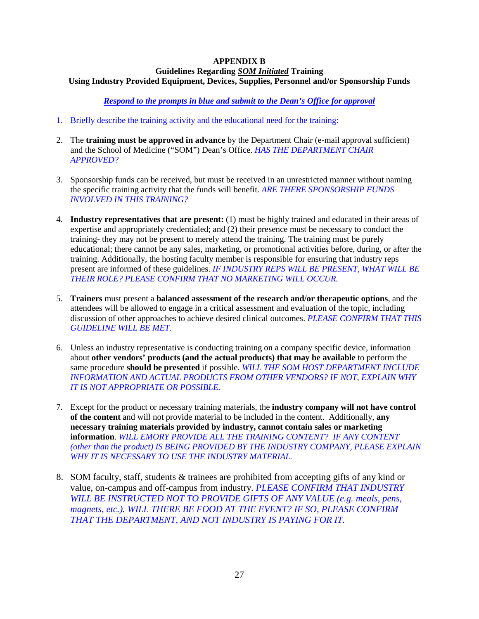#### **APPENDIX B Guidelines Regarding** *SOM Initiated* **Training Using Industry Provided Equipment, Devices, Supplies, Personnel and/or Sponsorship Funds**

*Respond to the prompts in blue and submit to the Dean's Office for approval*

- 1. Briefly describe the training activity and the educational need for the training:
- 2. The **training must be approved in advance** by the Department Chair (e-mail approval sufficient) and the School of Medicine ("SOM") Dean's Office. *HAS THE DEPARTMENT CHAIR APPROVED?*
- 3. Sponsorship funds can be received, but must be received in an unrestricted manner without naming the specific training activity that the funds will benefit. *ARE THERE SPONSORSHIP FUNDS INVOLVED IN THIS TRAINING?*
- 4. **Industry representatives that are present:** (1) must be highly trained and educated in their areas of expertise and appropriately credentialed; and (2) their presence must be necessary to conduct the training- they may not be present to merely attend the training. The training must be purely educational; there cannot be any sales, marketing, or promotional activities before, during, or after the training. Additionally, the hosting faculty member is responsible for ensuring that industry reps present are informed of these guidelines. *IF INDUSTRY REPS WILL BE PRESENT, WHAT WILL BE THEIR ROLE? PLEASE CONFIRM THAT NO MARKETING WILL OCCUR.*
- 5. **Trainers** must present a **balanced assessment of the research and/or therapeutic options**, and the attendees will be allowed to engage in a critical assessment and evaluation of the topic, including discussion of other approaches to achieve desired clinical outcomes. *PLEASE CONFIRM THAT THIS GUIDELINE WILL BE MET.*
- 6. Unless an industry representative is conducting training on a company specific device, information about **other vendors' products (and the actual products) that may be available** to perform the same procedure **should be presented** if possible. *WILL THE SOM HOST DEPARTMENT INCLUDE INFORMATION AND ACTUAL PRODUCTS FROM OTHER VENDORS? IF NOT, EXPLAIN WHY IT IS NOT APPROPRIATE OR POSSIBLE.*
- 7. Except for the product or necessary training materials, the **industry company will not have control of the content** and will not provide material to be included in the content. Additionally, **any necessary training materials provided by industry, cannot contain sales or marketing information**. *WILL EMORY PROVIDE ALL THE TRAINING CONTENT? IF ANY CONTENT (other than the product) IS BEING PROVIDED BY THE INDUSTRY COMPANY, PLEASE EXPLAIN WHY IT IS NECESSARY TO USE THE INDUSTRY MATERIAL.*
- 8. SOM faculty, staff, students & trainees are prohibited from accepting gifts of any kind or value, on-campus and off-campus from industry. *PLEASE CONFIRM THAT INDUSTRY WILL BE INSTRUCTED NOT TO PROVIDE GIFTS OF ANY VALUE (e.g. meals, pens, magnets, etc.). WILL THERE BE FOOD AT THE EVENT? IF SO, PLEASE CONFIRM THAT THE DEPARTMENT, AND NOT INDUSTRY IS PAYING FOR IT.*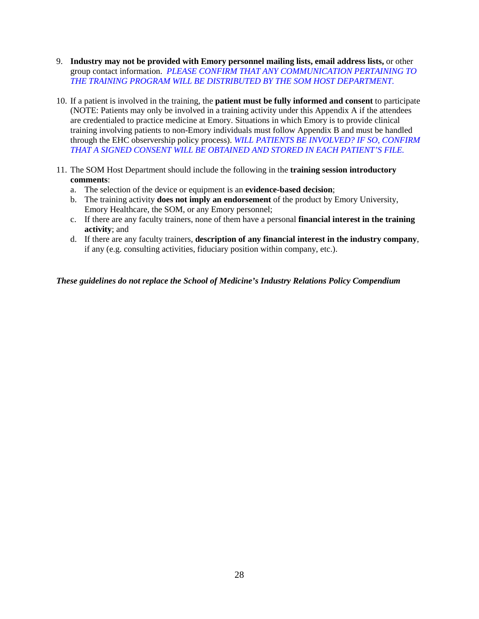- 9. **Industry may not be provided with Emory personnel mailing lists, email address lists,** or other group contact information. *PLEASE CONFIRM THAT ANY COMMUNICATION PERTAINING TO THE TRAINING PROGRAM WILL BE DISTRIBUTED BY THE SOM HOST DEPARTMENT.*
- 10. If a patient is involved in the training, the **patient must be fully informed and consent** to participate (NOTE: Patients may only be involved in a training activity under this Appendix A if the attendees are credentialed to practice medicine at Emory. Situations in which Emory is to provide clinical training involving patients to non-Emory individuals must follow Appendix B and must be handled through the EHC observership policy process). *WILL PATIENTS BE INVOLVED? IF SO, CONFIRM THAT A SIGNED CONSENT WILL BE OBTAINED AND STORED IN EACH PATIENT'S FILE.*
- 11. The SOM Host Department should include the following in the **training session introductory comments**:
	- a. The selection of the device or equipment is an **evidence-based decision**;
	- b. The training activity **does not imply an endorsement** of the product by Emory University, Emory Healthcare, the SOM, or any Emory personnel;
	- c. If there are any faculty trainers, none of them have a personal **financial interest in the training activity**; and
	- d. If there are any faculty trainers, **description of any financial interest in the industry company**, if any (e.g. consulting activities, fiduciary position within company, etc.).

*These guidelines do not replace the School of Medicine's Industry Relations Policy Compendium*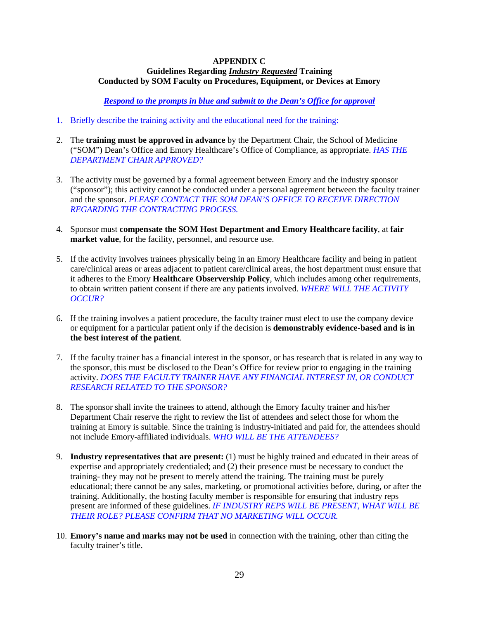#### **APPENDIX C Guidelines Regarding** *Industry Requested* **Training Conducted by SOM Faculty on Procedures, Equipment, or Devices at Emory**

*Respond to the prompts in blue and submit to the Dean's Office for approval*

- 1. Briefly describe the training activity and the educational need for the training:
- 2. The **training must be approved in advance** by the Department Chair, the School of Medicine ("SOM") Dean's Office and Emory Healthcare's Office of Compliance, as appropriate. *HAS THE DEPARTMENT CHAIR APPROVED?*
- 3. The activity must be governed by a formal agreement between Emory and the industry sponsor ("sponsor"); this activity cannot be conducted under a personal agreement between the faculty trainer and the sponsor. *PLEASE CONTACT THE SOM DEAN'S OFFICE TO RECEIVE DIRECTION REGARDING THE CONTRACTING PROCESS.*
- 4. Sponsor must **compensate the SOM Host Department and Emory Healthcare facility**, at **fair market value**, for the facility, personnel, and resource use.
- 5. If the activity involves trainees physically being in an Emory Healthcare facility and being in patient care/clinical areas or areas adjacent to patient care/clinical areas, the host department must ensure that it adheres to the Emory **Healthcare Observership Policy**, which includes among other requirements, to obtain written patient consent if there are any patients involved. *WHERE WILL THE ACTIVITY OCCUR?*
- 6. If the training involves a patient procedure, the faculty trainer must elect to use the company device or equipment for a particular patient only if the decision is **demonstrably evidence-based and is in the best interest of the patient**.
- 7. If the faculty trainer has a financial interest in the sponsor, or has research that is related in any way to the sponsor, this must be disclosed to the Dean's Office for review prior to engaging in the training activity. *DOES THE FACULTY TRAINER HAVE ANY FINANCIAL INTEREST IN, OR CONDUCT RESEARCH RELATED TO THE SPONSOR?*
- 8. The sponsor shall invite the trainees to attend, although the Emory faculty trainer and his/her Department Chair reserve the right to review the list of attendees and select those for whom the training at Emory is suitable. Since the training is industry-initiated and paid for, the attendees should not include Emory-affiliated individuals. *WHO WILL BE THE ATTENDEES?*
- 9. **Industry representatives that are present:** (1) must be highly trained and educated in their areas of expertise and appropriately credentialed; and (2) their presence must be necessary to conduct the training- they may not be present to merely attend the training. The training must be purely educational; there cannot be any sales, marketing, or promotional activities before, during, or after the training. Additionally, the hosting faculty member is responsible for ensuring that industry reps present are informed of these guidelines. *IF INDUSTRY REPS WILL BE PRESENT, WHAT WILL BE THEIR ROLE? PLEASE CONFIRM THAT NO MARKETING WILL OCCUR.*
- 10. **Emory's name and marks may not be used** in connection with the training, other than citing the faculty trainer's title.